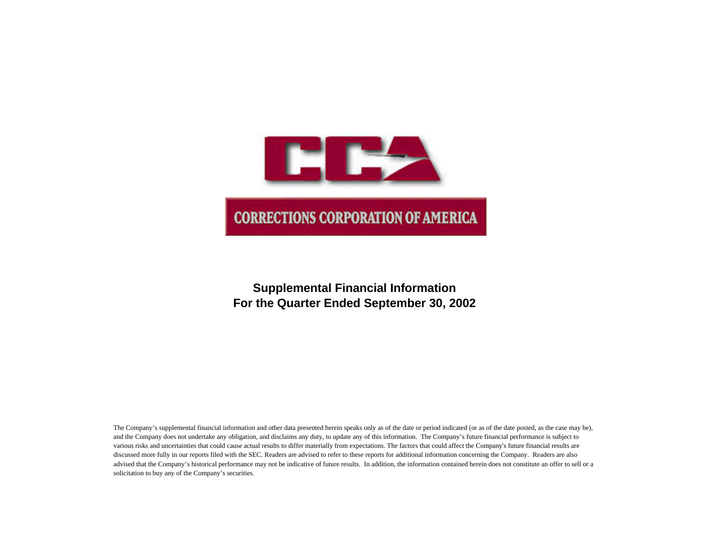

# **Supplemental Financial Information For the Quarter Ended September 30, 2002**

The Company's supplemental financial information and other data presented herein speaks only as of the date or period indicated (or as of the date posted, as the case may be), and the Company does not undertake any obligation, and disclaims any duty, to update any of this information. The Company's future financial performance is subject to various risks and uncertainties that could cause actual results to differ materially from expectations. The factors that could affect the Company's future financial results are discussed more fully in our reports filed with the SEC. Readers are advised to refer to these reports for additional information concerning the Company. Readers are also advised that the Company's historical performance may not be indicative of future results. In addition, the information contained herein does not constitute an offer to sell or a solicitation to buy any of the Company's securities.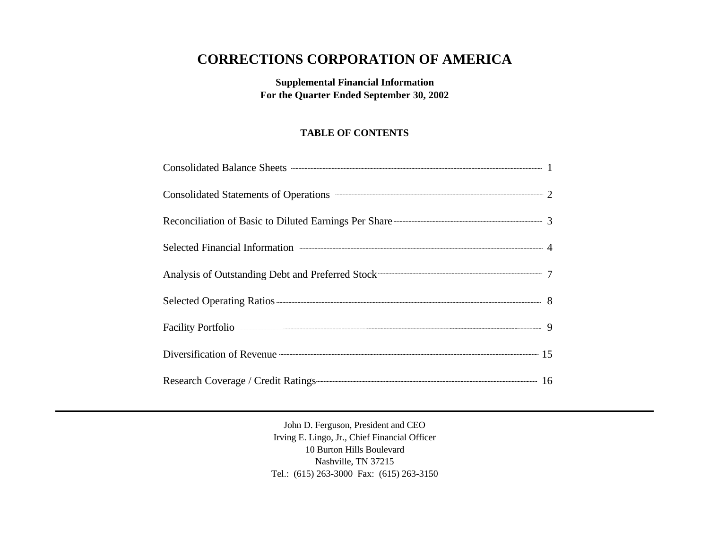# **CORRECTIONS CORPORATION OF AMERICA**

**Supplemental Financial Information For the Quarter Ended September 30, 2002**

# **TABLE OF CONTENTS**

| Consolidated Balance Sheets <b>Consolidated Balance Sheets</b> 1  |  |
|-------------------------------------------------------------------|--|
|                                                                   |  |
| Reconciliation of Basic to Diluted Earnings Per Share 2008 2014 3 |  |
|                                                                   |  |
|                                                                   |  |
|                                                                   |  |
| Facility Portfolio - 9                                            |  |
| Diversification of Revenue 25                                     |  |
| Research Coverage / Credit Ratings 16                             |  |

John D. Ferguson, President and CEO Irving E. Lingo, Jr., Chief Financial Officer 10 Burton Hills Boulevard Nashville, TN 37215 Tel.: (615) 263-3000 Fax: (615) 263-3150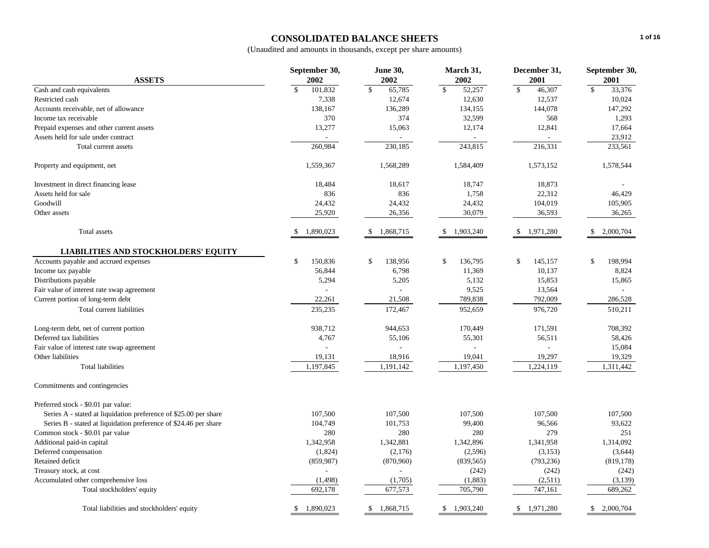# **CONSOLIDATED BALANCE SHEETS**

|                                                                  | <b>June 30,</b><br>September 30, |                           | March 31,                  | December 31,           | September 30,             |  |
|------------------------------------------------------------------|----------------------------------|---------------------------|----------------------------|------------------------|---------------------------|--|
| <b>ASSETS</b>                                                    | 2002                             | 2002                      | 2002                       | 2001                   | 2001                      |  |
| Cash and cash equivalents                                        | \$<br>101,832                    | $\mathbf{s}$<br>65,785    | $\mathbb{S}$<br>52,257     | $\mathbb{S}$<br>46,307 | $\mathcal{S}$<br>33,376   |  |
| Restricted cash                                                  | 7,338                            | 12,674                    | 12,630                     | 12,537                 | 10,024                    |  |
| Accounts receivable, net of allowance                            | 138,167                          | 136,289                   | 134,155                    | 144,078                | 147,292                   |  |
| Income tax receivable                                            | 370                              | 374                       | 32,599                     | 568                    | 1,293                     |  |
| Prepaid expenses and other current assets                        | 13,277                           | 15,063                    | 12,174                     | 12,841                 | 17,664                    |  |
| Assets held for sale under contract                              |                                  |                           |                            |                        | 23,912                    |  |
| Total current assets                                             | 260,984                          | 230,185                   | 243,815                    | 216,331                | 233,561                   |  |
| Property and equipment, net                                      | 1,559,367                        | 1,568,289                 | 1,584,409                  | 1,573,152              | 1,578,544                 |  |
| Investment in direct financing lease                             | 18,484                           | 18,617                    | 18,747                     | 18,873                 |                           |  |
| Assets held for sale                                             | 836                              | 836                       | 1,758                      | 22,312                 | 46,429                    |  |
| Goodwill                                                         | 24,432                           | 24,432                    | 24,432                     | 104,019                | 105,905                   |  |
| Other assets                                                     | 25,920                           | 26,356                    | 30,079                     | 36,593                 | 36,265                    |  |
| Total assets                                                     | 1,890,023<br>-S                  | 1,868,715<br>-S           | 1,903,240<br><sup>\$</sup> | 1,971,280<br>-S        | 2,000,704<br>\$           |  |
| <b>LIABILITIES AND STOCKHOLDERS' EQUITY</b>                      |                                  |                           |                            |                        |                           |  |
| Accounts payable and accrued expenses                            | \$<br>150,836                    | \$<br>138,956             | $\mathbb{S}$<br>136,795    | \$<br>145,157          | \$<br>198,994             |  |
| Income tax payable                                               | 56,844                           | 6,798                     | 11,369                     | 10,137                 | 8,824                     |  |
| Distributions payable                                            | 5,294                            | 5,205                     | 5,132                      | 15,853                 | 15,865                    |  |
| Fair value of interest rate swap agreement                       |                                  |                           | 9,525                      | 13,564                 |                           |  |
| Current portion of long-term debt                                | 22,261                           | 21,508                    | 789,838                    | 792,009                | 286,528                   |  |
| Total current liabilities                                        | 235,235                          | 172,467                   | 952,659                    | 976,720                | 510,211                   |  |
| Long-term debt, net of current portion                           | 938,712                          | 944,653                   | 170,449                    | 171,591                | 708,392                   |  |
| Deferred tax liabilities                                         | 4,767                            | 55,106                    | 55,301                     | 56,511                 | 58,426                    |  |
| Fair value of interest rate swap agreement                       |                                  |                           |                            |                        | 15,084                    |  |
| Other liabilities                                                | 19,131                           | 18,916                    | 19,041                     | 19,297                 | 19,329                    |  |
| <b>Total liabilities</b>                                         | 1,197,845                        | 1,191,142                 | 1,197,450                  | 1,224,119              | 1,311,442                 |  |
| Commitments and contingencies                                    |                                  |                           |                            |                        |                           |  |
| Preferred stock - \$0.01 par value:                              |                                  |                           |                            |                        |                           |  |
| Series A - stated at liquidation preference of \$25.00 per share | 107,500                          | 107,500                   | 107,500                    | 107,500                | 107,500                   |  |
| Series B - stated at liquidation preference of \$24.46 per share | 104,749                          | 101,753                   | 99,400                     | 96,566                 | 93,622                    |  |
| Common stock - \$0.01 par value                                  | 280                              | 280                       | 280                        | 279                    | 251                       |  |
| Additional paid-in capital                                       | 1,342,958                        | 1,342,881                 | 1,342,896                  | 1,341,958              | 1,314,092                 |  |
| Deferred compensation                                            | (1,824)                          | (2,176)                   | (2,596)                    | (3, 153)               | (3,644)                   |  |
| Retained deficit                                                 | (859, 987)                       | (870,960)                 | (839, 565)                 | (793, 236)             | (819, 178)                |  |
| Treasury stock, at cost                                          |                                  |                           | (242)                      | (242)                  | (242)                     |  |
| Accumulated other comprehensive loss                             | (1,498)                          | (1,705)                   | (1,883)                    | (2,511)                | (3,139)                   |  |
| Total stockholders' equity                                       | 692,178                          | 677,573                   | 705,790                    | 747,161                | 689,262                   |  |
| Total liabilities and stockholders' equity                       | $\mathbb{S}$<br>1,890,023        | $\mathbb{S}$<br>1,868,715 | \$1,903,240                | \$<br>1,971,280        | $\mathbb{S}$<br>2,000,704 |  |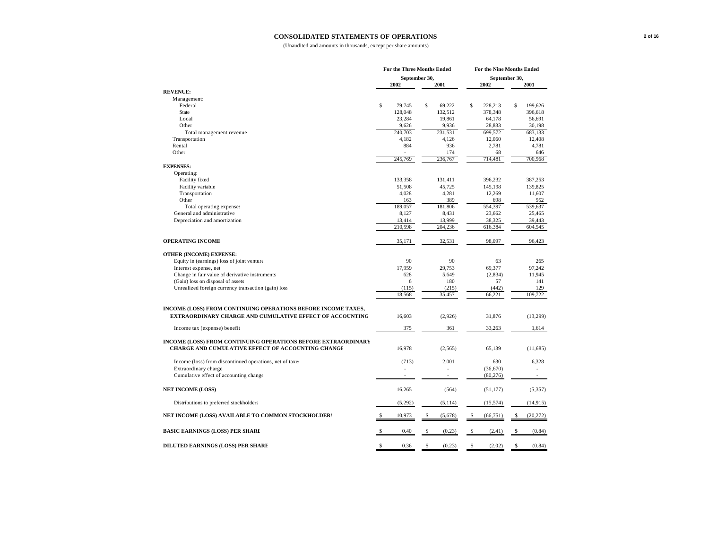#### **CONSOLIDATED STATEMENTS OF OPERATIONS**

|                                                                      | For the Three Months Ended |                       |    | For the Nine Months Ended |             |                       |             |           |
|----------------------------------------------------------------------|----------------------------|-----------------------|----|---------------------------|-------------|-----------------------|-------------|-----------|
|                                                                      |                            | September 30,<br>2002 |    | 2001                      |             | September 30,<br>2002 |             | 2001      |
| <b>REVENUE:</b>                                                      |                            |                       |    |                           |             |                       |             |           |
| Management:                                                          |                            |                       |    |                           |             |                       |             |           |
| Federal                                                              | $\mathbb{S}$               | 79,745                | Ŝ  | 69,222                    | $\mathbb S$ | 228,213               | $\mathbb S$ | 199,626   |
| <b>State</b>                                                         |                            | 128,048               |    | 132,512                   |             | 378,348               |             | 396,618   |
| Local                                                                |                            | 23,284                |    | 19,861                    |             | 64,178                |             | 56,691    |
| Other                                                                |                            | 9,626                 |    | 9,936                     |             | 28,833                |             | 30,198    |
| Total management revenue                                             |                            | 240,703               |    | 231,531                   |             | 699,572               |             | 683,133   |
| Transportation                                                       |                            | 4,182                 |    | 4,126                     |             | 12,060                |             | 12,408    |
| Rental                                                               |                            | 884                   |    | 936                       |             | 2,781                 |             | 4,781     |
| Other                                                                |                            |                       |    | 174                       |             | 68                    |             | 646       |
|                                                                      |                            | 245,769               |    | 236,767                   |             | 714,481               |             | 700,968   |
| <b>EXPENSES:</b>                                                     |                            |                       |    |                           |             |                       |             |           |
| Operating:                                                           |                            |                       |    |                           |             |                       |             |           |
| Facility fixed                                                       |                            | 133.358               |    | 131,411                   |             | 396,232               |             | 387.253   |
| Facility variable                                                    |                            | 51,508                |    | 45,725                    |             | 145,198               |             | 139,825   |
| Transportation                                                       |                            | 4,028                 |    | 4,281                     |             | 12,269                |             | 11,607    |
| Other                                                                |                            | 163                   |    | 389                       |             | 698                   |             | 952       |
| Total operating expenses                                             |                            | 189,057               |    | 181,806                   |             | 554,397               |             | 539,637   |
| General and administrative                                           |                            | 8,127                 |    | 8.431                     |             | 23.662                |             | 25.465    |
| Depreciation and amortization                                        |                            | 13,414                |    | 13,999                    |             | 38,325                |             | 39,443    |
|                                                                      |                            | 210,598               |    | 204,236                   |             | 616,384               |             | 604,545   |
| <b>OPERATING INCOME</b>                                              |                            | 35,171                |    | 32,531                    |             | 98,097                |             | 96,423    |
|                                                                      |                            |                       |    |                           |             |                       |             |           |
| <b>OTHER (INCOME) EXPENSE:</b>                                       |                            |                       |    |                           |             |                       |             |           |
| Equity in (earnings) loss of joint venture                           |                            | 90                    |    | 90                        |             | 63                    |             | 265       |
| Interest expense, net                                                |                            | 17,959                |    | 29,753                    |             | 69,377                |             | 97,242    |
| Change in fair value of derivative instruments                       |                            | 628                   |    | 5,649                     |             | (2,834)               |             | 11,945    |
| (Gain) loss on disposal of assets                                    |                            | 6                     |    | 180                       |             | 57                    |             | 141       |
| Unrealized foreign currency transaction (gain) loss                  |                            | (115)                 |    | (215)                     |             | (442)                 |             | 129       |
|                                                                      |                            | 18,568                |    | 35,457                    |             | 66,221                |             | 109.722   |
|                                                                      |                            |                       |    |                           |             |                       |             |           |
| INCOME (LOSS) FROM CONTINUING OPERATIONS BEFORE INCOME TAXES,        |                            |                       |    |                           |             |                       |             |           |
| <b>EXTRAORDINARY CHARGE AND CUMULATIVE EFFECT OF ACCOUNTING</b>      |                            | 16,603                |    | (2,926)                   |             | 31.876                |             | (13,299)  |
| Income tax (expense) benefit                                         |                            | 375                   |    | 361                       |             | 33,263                |             | 1,614     |
| <b>INCOME (LOSS) FROM CONTINUING OPERATIONS BEFORE EXTRAORDINARY</b> |                            |                       |    |                           |             |                       |             |           |
| CHARGE AND CUMULATIVE EFFECT OF ACCOUNTING CHANGI                    |                            | 16,978                |    | (2,565)                   |             | 65,139                |             | (11,685)  |
| Income (loss) from discontinued operations, net of taxe:             |                            | (713)                 |    | 2,001                     |             | 630                   |             | 6,328     |
| Extraordinary charge                                                 |                            |                       |    |                           |             | (36,670)              |             |           |
| Cumulative effect of accounting change                               |                            |                       |    |                           |             | (80, 276)             |             |           |
| <b>NET INCOME (LOSS)</b>                                             |                            | 16,265                |    | (564)                     |             | (51, 177)             |             | (5, 357)  |
| Distributions to preferred stockholders                              |                            | (5,292)               |    | (5, 114)                  |             | (15, 574)             |             | (14, 915) |
| NET INCOME (LOSS) AVAILABLE TO COMMON STOCKHOLDER:                   |                            | 10,973                | \$ | (5,678)                   | \$          | (66, 751)             | S           | (20, 272) |
| <b>BASIC EARNINGS (LOSS) PER SHARI</b>                               |                            | 0.40                  | \$ | (0.23)                    | S           | (2.41)                |             | (0.84)    |
| DILUTED EARNINGS (LOSS) PER SHARI                                    | \$                         | 0.36                  | \$ | (0.23)                    | \$          | (2.02)                | \$          | (0.84)    |
|                                                                      |                            |                       |    |                           |             |                       |             |           |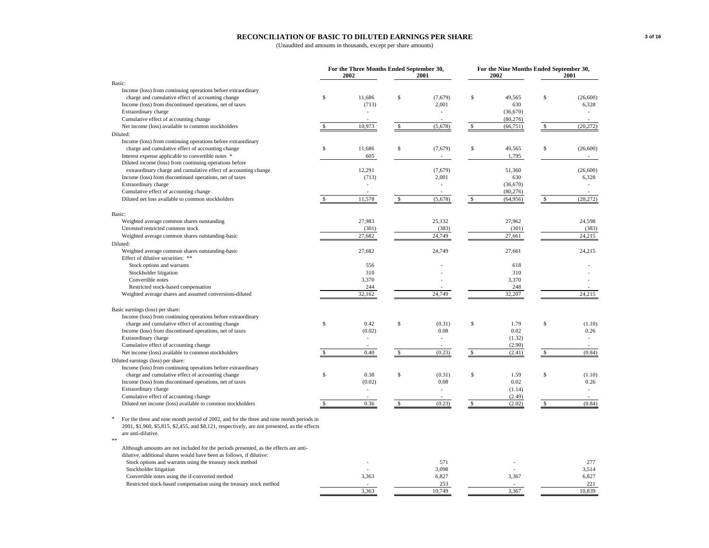### **RECONCILIATION OF BASIC TO DILUTED EARNINGS PER SHARE**

|                                                                                                               |               | For the Three Months Ended September 30,<br>2002 |              | 2001                     |              | For the Nine Months Ended September 30,<br>2002 |               | 2001                     |
|---------------------------------------------------------------------------------------------------------------|---------------|--------------------------------------------------|--------------|--------------------------|--------------|-------------------------------------------------|---------------|--------------------------|
| Basic:                                                                                                        |               |                                                  |              |                          |              |                                                 |               |                          |
| Income (loss) from continuing operations before extraordinary                                                 |               |                                                  |              |                          |              |                                                 |               |                          |
| charge and cumulative effect of accounting change                                                             | $\mathbb{S}$  | 11.686                                           | S            | (7,679)                  | \$           | 49.565                                          | S             | (26,600)                 |
| Income (loss) from discontinued operations, net of taxes                                                      |               | (713)                                            |              | 2,001                    |              | 630                                             |               | 6,328                    |
| Extraordinary charge                                                                                          |               |                                                  |              |                          |              | (36,670)                                        |               | $\overline{\phantom{a}}$ |
| Cumulative effect of accounting change                                                                        |               |                                                  |              |                          |              | (80, 276)                                       |               |                          |
| Net income (loss) available to common stockholders                                                            | $\mathbb{S}$  | 10,973                                           | $\mathbb{S}$ | (5,678)                  | $\mathbb{S}$ | (66, 751)                                       | <sup>\$</sup> | (20, 272)                |
| Diluted:                                                                                                      |               |                                                  |              |                          |              |                                                 |               |                          |
| Income (loss) from continuing operations before extraordinary                                                 |               |                                                  |              |                          |              |                                                 |               |                          |
| charge and cumulative effect of accounting change                                                             | \$            | 11,686                                           | \$           | (7,679)                  | \$           | 49,565                                          | \$            | (26, 600)                |
| Interest expense applicable to convertible notes *                                                            |               | 605                                              |              |                          |              | 1,795                                           |               | $\mathbf{r}$             |
| Diluted income (loss) from continuing operations before                                                       |               |                                                  |              |                          |              |                                                 |               |                          |
| extraordinary charge and cumulative effect of accounting change                                               |               | 12,291                                           |              | (7,679)                  |              | 51,360                                          |               | (26, 600)                |
| Income (loss) from discontinued operations, net of taxes                                                      |               | (713)                                            |              | 2,001                    |              | 630                                             |               | 6,328                    |
| Extraordinary charge                                                                                          |               |                                                  |              |                          |              | (36,670)                                        |               |                          |
| Cumulative effect of accounting change                                                                        |               |                                                  |              |                          |              | (80, 276)                                       |               |                          |
| Diluted net loss available to common stockholders                                                             |               | 11,578                                           | \$.          | (5,678)                  | S            | (64,956)                                        | S             | (20, 272)                |
|                                                                                                               |               |                                                  |              |                          |              |                                                 |               |                          |
| Basic:                                                                                                        |               |                                                  |              |                          |              |                                                 |               |                          |
| Weighted average common shares outstanding                                                                    |               | 27,983                                           |              | 25,132                   |              | 27,962                                          |               | 24,598                   |
| Unvested restricted common stock                                                                              |               | (301)                                            |              | (383)                    |              | (301)                                           |               | (383)                    |
| Weighted average common shares outstanding-basic                                                              |               | 27,682                                           |              | 24,749                   |              | 27,661                                          |               | 24.215                   |
| Diluted:                                                                                                      |               |                                                  |              |                          |              |                                                 |               |                          |
| Weighted average common shares outstanding-basic                                                              |               | 27,682                                           |              | 24,749                   |              | 27,661                                          |               | 24,215                   |
| Effect of dilutive securities: **                                                                             |               |                                                  |              |                          |              |                                                 |               |                          |
| Stock options and warrants                                                                                    |               | 556                                              |              |                          |              | 618                                             |               |                          |
|                                                                                                               |               | 310                                              |              |                          |              | 310                                             |               |                          |
| Stockholder litigation                                                                                        |               |                                                  |              |                          |              |                                                 |               |                          |
| Convertible notes                                                                                             |               | 3,370                                            |              |                          |              | 3,370                                           |               |                          |
| Restricted stock-based compensation                                                                           |               | 244                                              |              |                          |              | 248                                             |               |                          |
| Weighted average shares and assumed conversions-diluted                                                       |               | 32,162                                           |              | 24,749                   |              | 32,207                                          |               | 24,215                   |
| Basic earnings (loss) per share:                                                                              |               |                                                  |              |                          |              |                                                 |               |                          |
| Income (loss) from continuing operations before extraordinary                                                 |               |                                                  |              |                          |              |                                                 |               |                          |
|                                                                                                               | $\mathbb{S}$  | 0.42                                             | S            |                          |              | 1.79                                            | S             |                          |
| charge and cumulative effect of accounting change<br>Income (loss) from discontinued operations, net of taxes |               |                                                  |              | (0.31)                   | \$           |                                                 |               | (1.10)                   |
|                                                                                                               |               | (0.02)                                           |              | 0.08                     |              | 0.02                                            |               | 0.26                     |
| Extraordinary charge                                                                                          |               |                                                  |              | $\overline{\phantom{a}}$ |              | (1.32)                                          |               | $\overline{\phantom{a}}$ |
| Cumulative effect of accounting change                                                                        |               |                                                  |              |                          |              | (2.90)                                          |               |                          |
| Net income (loss) available to common stockholders                                                            | \$.           | 0.40                                             | \$           | (0.23)                   | S            | (2.41)                                          | \$            | (0.84)                   |
| Diluted earnings (loss) per share:                                                                            |               |                                                  |              |                          |              |                                                 |               |                          |
| Income (loss) from continuing operations before extraordinary                                                 |               |                                                  |              |                          |              |                                                 |               |                          |
| charge and cumulative effect of accounting change                                                             | $\mathbb{S}$  | 0.38                                             | S            | (0.31)                   | Ŝ            | 1.59                                            | $\mathbf S$   | (1.10)                   |
| Income (loss) from discontinued operations, net of taxes                                                      |               | (0.02)                                           |              | 0.08                     |              | 0.02                                            |               | 0.26                     |
| Extraordinary charge                                                                                          |               |                                                  |              |                          |              | (1.14)                                          |               | $\overline{\phantom{a}}$ |
| Cumulative effect of accounting change                                                                        |               |                                                  |              |                          |              | (2.49)                                          |               |                          |
| Diluted net income (loss) available to common stockholders                                                    | $\mathcal{S}$ | 0.36                                             | S            | (0.23)                   | $\mathbb{S}$ | (2.02)                                          | \$            | (0.84)                   |
|                                                                                                               |               |                                                  |              |                          |              |                                                 |               |                          |
| For the three and nine month period of 2002, and for the three and nine month periods in                      |               |                                                  |              |                          |              |                                                 |               |                          |
| 2001, \$1,960, \$5,815, \$2,455, and \$8,121, respectively, are not presented, as the effects                 |               |                                                  |              |                          |              |                                                 |               |                          |
| are anti-dilutive.                                                                                            |               |                                                  |              |                          |              |                                                 |               |                          |
| $**$                                                                                                          |               |                                                  |              |                          |              |                                                 |               |                          |
| Although amounts are not included for the periods presented, as the effects are anti-                         |               |                                                  |              |                          |              |                                                 |               |                          |
| dilutive, additional shares would have been as follows, if dilutive:                                          |               |                                                  |              |                          |              |                                                 |               |                          |
| Stock options and warrants using the treasury stock method                                                    |               |                                                  |              | 571                      |              |                                                 |               | 277                      |
| Stockholder litigation                                                                                        |               |                                                  |              | 3,098                    |              |                                                 |               | 3,514                    |
| Convertible notes using the if-converted method                                                               |               | 3,363                                            |              | 6,827                    |              | 3,367                                           |               | 6,827                    |
| Restricted stock-based compensation using the treasury stock method                                           |               |                                                  |              | 253                      |              |                                                 |               | 221                      |
|                                                                                                               |               | 3,363                                            |              | 10,749                   |              | 3,367                                           |               | 10,839                   |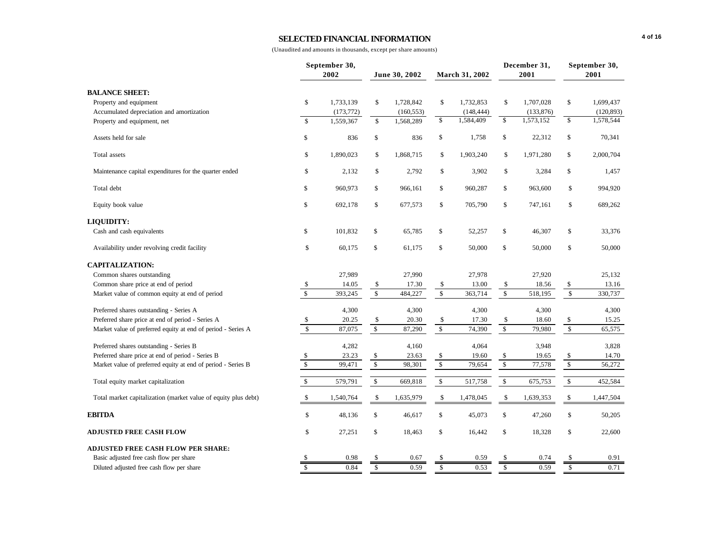### **SELECTED FINANCIAL INFORMATION**

|                                                                |                         | September 30,<br>2002 |                         | June 30, 2002 |                         | March 31, 2002 |                         | December 31,<br>2001 |                      | September 30,<br>2001 |
|----------------------------------------------------------------|-------------------------|-----------------------|-------------------------|---------------|-------------------------|----------------|-------------------------|----------------------|----------------------|-----------------------|
| <b>BALANCE SHEET:</b>                                          |                         |                       |                         |               |                         |                |                         |                      |                      |                       |
| Property and equipment                                         | \$                      | 1,733,139             | \$                      | 1,728,842     | \$                      | 1,732,853      | \$                      | 1,707,028            | \$                   | 1,699,437             |
| Accumulated depreciation and amortization                      |                         | (173, 772)            |                         | (160, 553)    |                         | (148, 444)     |                         | (133, 876)           |                      | (120, 893)            |
| Property and equipment, net                                    | \$                      | 1,559,367             | $\mathbb{S}$            | 1,568,289     | \$                      | 1,584,409      | \$                      | 1,573,152            | \$                   | 1,578,544             |
| Assets held for sale                                           | \$                      | 836                   | \$                      | 836           | \$                      | 1,758          | \$                      | 22,312               | \$                   | 70,341                |
| Total assets                                                   | \$                      | 1,890,023             | \$                      | 1,868,715     | \$                      | 1,903,240      | \$                      | 1,971,280            | \$                   | 2,000,704             |
| Maintenance capital expenditures for the quarter ended         | \$                      | 2,132                 | \$                      | 2,792         | \$                      | 3,902          | \$                      | 3,284                | \$                   | 1,457                 |
| Total debt                                                     | \$                      | 960,973               | \$                      | 966,161       | \$                      | 960,287        | \$                      | 963,600              | \$                   | 994,920               |
| Equity book value                                              | \$                      | 692,178               | \$                      | 677,573       | \$                      | 705,790        | \$                      | 747,161              | \$                   | 689,262               |
| <b>LIQUIDITY:</b>                                              |                         |                       |                         |               |                         |                |                         |                      |                      |                       |
| Cash and cash equivalents                                      | \$                      | 101,832               | \$                      | 65,785        | \$                      | 52,257         | \$                      | 46,307               | \$                   | 33,376                |
| Availability under revolving credit facility                   | \$                      | 60,175                | \$                      | 61,175        | \$                      | 50,000         | \$                      | 50,000               | \$                   | 50,000                |
| <b>CAPITALIZATION:</b>                                         |                         |                       |                         |               |                         |                |                         |                      |                      |                       |
| Common shares outstanding                                      |                         | 27,989                |                         | 27,990        |                         | 27,978         |                         | 27,920               |                      | 25,132                |
| Common share price at end of period                            | \$                      | 14.05                 | \$                      | 17.30         | \$                      | 13.00          | \$                      | 18.56                | \$                   | 13.16                 |
| Market value of common equity at end of period                 | $\mathbb S$             | 393,245               | $\sqrt{\frac{2}{3}}$    | 484,227       | $\sqrt{s}$              | 363,714        | $\sqrt{\ }$             | 518,195              | $\sqrt{\frac{2}{3}}$ | 330,737               |
| Preferred shares outstanding - Series A                        |                         | 4,300                 |                         | 4,300         |                         | 4,300          |                         | 4,300                |                      | 4,300                 |
| Preferred share price at end of period - Series A              | \$                      | 20.25                 | \$                      | 20.30         | \$                      | 17.30          | \$                      | 18.60                | \$                   | 15.25                 |
| Market value of preferred equity at end of period - Series A   | $\mathbf S$             | 87,075                | $\mathbb{S}$            | 87,290        | $\mathbf{\hat{S}}$      | 74,390         | \$                      | 79,980               | $\mathsf{\$}$        | 65,575                |
| Preferred shares outstanding - Series B                        |                         | 4,282                 |                         | 4,160         |                         | 4,064          |                         | 3,948                |                      | 3,828                 |
| Preferred share price at end of period - Series B              | \$                      | 23.23                 | \$                      | 23.63         | \$                      | 19.60          | $\sqrt[6]{3}$           | 19.65                | \$                   | 14.70                 |
| Market value of preferred equity at end of period - Series B   | $\sqrt{\frac{1}{2}}$    | 99,471                | $\sqrt{\frac{2}{3}}$    | 98,301        | $\sqrt{s}$              | 79,654         | $\sqrt{\frac{2}{3}}$    | 77,578               | $\mathbb{S}$         | 56,272                |
| Total equity market capitalization                             | $\mathbb{S}$            | 579,791               | $\mathsf{\$}$           | 669,818       | \$                      | 517,758        | \$                      | 675,753              | \$                   | 452,584               |
| Total market capitalization (market value of equity plus debt) | \$                      | 1,540,764             | \$                      | 1,635,979     | \$                      | 1,478,045      | \$                      | 1,639,353            | \$                   | 1,447,504             |
| <b>EBITDA</b>                                                  | \$                      | 48,136                | \$                      | 46,617        | \$                      | 45,073         | \$                      | 47,260               | \$                   | 50,205                |
| <b>ADJUSTED FREE CASH FLOW</b>                                 | \$                      | 27,251                | \$                      | 18,463        | \$                      | 16,442         | \$                      | 18,328               | \$                   | 22,600                |
| <b>ADJUSTED FREE CASH FLOW PER SHARE:</b>                      |                         |                       |                         |               |                         |                |                         |                      |                      |                       |
| Basic adjusted free cash flow per share                        |                         | 0.98                  |                         | 0.67          |                         | 0.59           | \$                      | 0.74                 |                      | 0.91                  |
| Diluted adjusted free cash flow per share                      | $\overline{\mathbf{s}}$ | 0.84                  | $\overline{\mathbf{s}}$ | 0.59          | $\overline{\mathbf{s}}$ | 0.53           | $\overline{\mathbf{s}}$ | 0.59                 | \$                   | 0.71                  |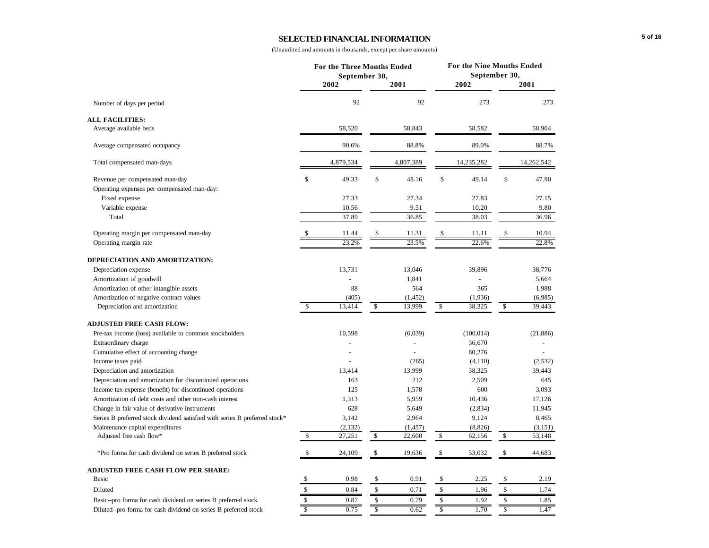### **SELECTED FINANCIAL INFORMATION**

| September 30,<br>2002<br>2001<br>2002<br>2001<br>92<br>92<br>273<br>273<br>Number of days per period<br><b>ALL FACILITIES:</b><br>58,904<br>Average available beds<br>58,520<br>58,843<br>58,582<br>89.0%<br>90.6%<br>88.8%<br>88.7%<br>Average compensated occupancy<br>4,879,534<br>4,807,389<br>14,235,282<br>Total compensated man-days<br>14,262,542<br>\$<br>\$<br>49.33<br>\$<br>48.16<br>49.14<br>\$<br>47.90<br>Revenue per compensated man-day<br>Operating expenses per compensated man-day:<br>27.34<br>27.15<br>27.33<br>27.83<br>Fixed expense<br>Variable expense<br>10.56<br>9.51<br>10.20<br>9.80<br>37.89<br>36.85<br>38.03<br>Total<br>36.96<br>\$<br>\$<br>\$<br>10.94<br>Operating margin per compensated man-day<br>\$<br>11.44<br>11.31<br>11.11<br>22.6%<br>23.2%<br>23.5%<br>22.8%<br>Operating margin rate<br>DEPRECIATION AND AMORTIZATION:<br>13,731<br>13,046<br>39,896<br>38,776<br>Depreciation expense<br>1,841<br>5,664<br>Amortization of goodwill<br>88<br>Amortization of other intangible assets<br>564<br>365<br>1,988<br>Amortization of negative contract values<br>(405)<br>(1, 452)<br>(1,936)<br>(6,985)<br>\$<br>\$<br>13,999<br>13,414<br>\$<br>38,325<br>\$<br>39,443<br>Depreciation and amortization<br><b>ADJUSTED FREE CASH FLOW:</b><br>Pre-tax income (loss) available to common stockholders<br>10,598<br>(6,039)<br>(100, 014)<br>(21, 886)<br>36,670<br>Extraordinary charge<br>Cumulative effect of accounting change<br>80,276<br>Income taxes paid<br>(265)<br>(4,110)<br>(2,532)<br>13,414<br>13,999<br>38,325<br>39,443<br>Depreciation and amortization<br>212<br>2,509<br>Depreciation and amortization for discontinued operations<br>163<br>645<br>Income tax expense (benefit) for discontinued operations<br>125<br>1,578<br>600<br>3,093<br>Amortization of debt costs and other non-cash interest<br>1,313<br>5,959<br>10,436<br>17,126<br>628<br>Change in fair value of derivative instruments<br>5,649<br>(2,834)<br>11,945<br>3,142<br>9,124<br>8,465<br>Series B preferred stock dividend satisfied with series B preferred stock*<br>2,964<br>(2, 132)<br>(8, 826)<br>Maintenance capital expenditures<br>(1, 457)<br>(3, 151)<br>\$<br>27,251<br>\$<br>22,600<br>\$<br>62,156<br>\$<br>53,148<br>Adjusted free cash flow*<br>\$<br>\$<br>\$<br>\$<br>*Pro forma for cash dividend on series B preferred stock<br>24,109<br>19,636<br>53,032<br>44,683<br><b>ADJUSTED FREE CASH FLOW PER SHARE:</b><br>\$<br>\$<br>Basic<br>\$<br>\$<br>0.98<br>0.91<br>2.25<br>2.19<br>\$<br>\$<br>\$<br>\$<br>0.84<br>0.71<br>1.96<br>1.74<br>Diluted<br>$\mathbb{S}$<br>\$<br>\$<br>\$<br>Basic--pro forma for cash dividend on series B preferred stock<br>0.87<br>0.79<br>1.92<br>1.85<br>\$<br>$\overline{\mathsf{s}}$<br>\$<br>\$<br>0.75<br>1.70<br>1.47<br>0.62<br>Diluted--pro forma for cash dividend on series B preferred stock |  | For the Three Months Ended |  | For the Nine Months Ended<br>September 30, |  |  |  |
|--------------------------------------------------------------------------------------------------------------------------------------------------------------------------------------------------------------------------------------------------------------------------------------------------------------------------------------------------------------------------------------------------------------------------------------------------------------------------------------------------------------------------------------------------------------------------------------------------------------------------------------------------------------------------------------------------------------------------------------------------------------------------------------------------------------------------------------------------------------------------------------------------------------------------------------------------------------------------------------------------------------------------------------------------------------------------------------------------------------------------------------------------------------------------------------------------------------------------------------------------------------------------------------------------------------------------------------------------------------------------------------------------------------------------------------------------------------------------------------------------------------------------------------------------------------------------------------------------------------------------------------------------------------------------------------------------------------------------------------------------------------------------------------------------------------------------------------------------------------------------------------------------------------------------------------------------------------------------------------------------------------------------------------------------------------------------------------------------------------------------------------------------------------------------------------------------------------------------------------------------------------------------------------------------------------------------------------------------------------------------------------------------------------------------------------------------------------------------------------------------------------------------------------------------------------------------------------------------------------------------------------------------------------------------------------------------------------------------------------------------------------------------------------------------------------------------------------------------------------------------------------------------------|--|----------------------------|--|--------------------------------------------|--|--|--|
|                                                                                                                                                                                                                                                                                                                                                                                                                                                                                                                                                                                                                                                                                                                                                                                                                                                                                                                                                                                                                                                                                                                                                                                                                                                                                                                                                                                                                                                                                                                                                                                                                                                                                                                                                                                                                                                                                                                                                                                                                                                                                                                                                                                                                                                                                                                                                                                                                                                                                                                                                                                                                                                                                                                                                                                                                                                                                                        |  |                            |  |                                            |  |  |  |
|                                                                                                                                                                                                                                                                                                                                                                                                                                                                                                                                                                                                                                                                                                                                                                                                                                                                                                                                                                                                                                                                                                                                                                                                                                                                                                                                                                                                                                                                                                                                                                                                                                                                                                                                                                                                                                                                                                                                                                                                                                                                                                                                                                                                                                                                                                                                                                                                                                                                                                                                                                                                                                                                                                                                                                                                                                                                                                        |  |                            |  |                                            |  |  |  |
|                                                                                                                                                                                                                                                                                                                                                                                                                                                                                                                                                                                                                                                                                                                                                                                                                                                                                                                                                                                                                                                                                                                                                                                                                                                                                                                                                                                                                                                                                                                                                                                                                                                                                                                                                                                                                                                                                                                                                                                                                                                                                                                                                                                                                                                                                                                                                                                                                                                                                                                                                                                                                                                                                                                                                                                                                                                                                                        |  |                            |  |                                            |  |  |  |
|                                                                                                                                                                                                                                                                                                                                                                                                                                                                                                                                                                                                                                                                                                                                                                                                                                                                                                                                                                                                                                                                                                                                                                                                                                                                                                                                                                                                                                                                                                                                                                                                                                                                                                                                                                                                                                                                                                                                                                                                                                                                                                                                                                                                                                                                                                                                                                                                                                                                                                                                                                                                                                                                                                                                                                                                                                                                                                        |  |                            |  |                                            |  |  |  |
|                                                                                                                                                                                                                                                                                                                                                                                                                                                                                                                                                                                                                                                                                                                                                                                                                                                                                                                                                                                                                                                                                                                                                                                                                                                                                                                                                                                                                                                                                                                                                                                                                                                                                                                                                                                                                                                                                                                                                                                                                                                                                                                                                                                                                                                                                                                                                                                                                                                                                                                                                                                                                                                                                                                                                                                                                                                                                                        |  |                            |  |                                            |  |  |  |
|                                                                                                                                                                                                                                                                                                                                                                                                                                                                                                                                                                                                                                                                                                                                                                                                                                                                                                                                                                                                                                                                                                                                                                                                                                                                                                                                                                                                                                                                                                                                                                                                                                                                                                                                                                                                                                                                                                                                                                                                                                                                                                                                                                                                                                                                                                                                                                                                                                                                                                                                                                                                                                                                                                                                                                                                                                                                                                        |  |                            |  |                                            |  |  |  |
|                                                                                                                                                                                                                                                                                                                                                                                                                                                                                                                                                                                                                                                                                                                                                                                                                                                                                                                                                                                                                                                                                                                                                                                                                                                                                                                                                                                                                                                                                                                                                                                                                                                                                                                                                                                                                                                                                                                                                                                                                                                                                                                                                                                                                                                                                                                                                                                                                                                                                                                                                                                                                                                                                                                                                                                                                                                                                                        |  |                            |  |                                            |  |  |  |
|                                                                                                                                                                                                                                                                                                                                                                                                                                                                                                                                                                                                                                                                                                                                                                                                                                                                                                                                                                                                                                                                                                                                                                                                                                                                                                                                                                                                                                                                                                                                                                                                                                                                                                                                                                                                                                                                                                                                                                                                                                                                                                                                                                                                                                                                                                                                                                                                                                                                                                                                                                                                                                                                                                                                                                                                                                                                                                        |  |                            |  |                                            |  |  |  |
|                                                                                                                                                                                                                                                                                                                                                                                                                                                                                                                                                                                                                                                                                                                                                                                                                                                                                                                                                                                                                                                                                                                                                                                                                                                                                                                                                                                                                                                                                                                                                                                                                                                                                                                                                                                                                                                                                                                                                                                                                                                                                                                                                                                                                                                                                                                                                                                                                                                                                                                                                                                                                                                                                                                                                                                                                                                                                                        |  |                            |  |                                            |  |  |  |
|                                                                                                                                                                                                                                                                                                                                                                                                                                                                                                                                                                                                                                                                                                                                                                                                                                                                                                                                                                                                                                                                                                                                                                                                                                                                                                                                                                                                                                                                                                                                                                                                                                                                                                                                                                                                                                                                                                                                                                                                                                                                                                                                                                                                                                                                                                                                                                                                                                                                                                                                                                                                                                                                                                                                                                                                                                                                                                        |  |                            |  |                                            |  |  |  |
|                                                                                                                                                                                                                                                                                                                                                                                                                                                                                                                                                                                                                                                                                                                                                                                                                                                                                                                                                                                                                                                                                                                                                                                                                                                                                                                                                                                                                                                                                                                                                                                                                                                                                                                                                                                                                                                                                                                                                                                                                                                                                                                                                                                                                                                                                                                                                                                                                                                                                                                                                                                                                                                                                                                                                                                                                                                                                                        |  |                            |  |                                            |  |  |  |
|                                                                                                                                                                                                                                                                                                                                                                                                                                                                                                                                                                                                                                                                                                                                                                                                                                                                                                                                                                                                                                                                                                                                                                                                                                                                                                                                                                                                                                                                                                                                                                                                                                                                                                                                                                                                                                                                                                                                                                                                                                                                                                                                                                                                                                                                                                                                                                                                                                                                                                                                                                                                                                                                                                                                                                                                                                                                                                        |  |                            |  |                                            |  |  |  |
|                                                                                                                                                                                                                                                                                                                                                                                                                                                                                                                                                                                                                                                                                                                                                                                                                                                                                                                                                                                                                                                                                                                                                                                                                                                                                                                                                                                                                                                                                                                                                                                                                                                                                                                                                                                                                                                                                                                                                                                                                                                                                                                                                                                                                                                                                                                                                                                                                                                                                                                                                                                                                                                                                                                                                                                                                                                                                                        |  |                            |  |                                            |  |  |  |
|                                                                                                                                                                                                                                                                                                                                                                                                                                                                                                                                                                                                                                                                                                                                                                                                                                                                                                                                                                                                                                                                                                                                                                                                                                                                                                                                                                                                                                                                                                                                                                                                                                                                                                                                                                                                                                                                                                                                                                                                                                                                                                                                                                                                                                                                                                                                                                                                                                                                                                                                                                                                                                                                                                                                                                                                                                                                                                        |  |                            |  |                                            |  |  |  |
|                                                                                                                                                                                                                                                                                                                                                                                                                                                                                                                                                                                                                                                                                                                                                                                                                                                                                                                                                                                                                                                                                                                                                                                                                                                                                                                                                                                                                                                                                                                                                                                                                                                                                                                                                                                                                                                                                                                                                                                                                                                                                                                                                                                                                                                                                                                                                                                                                                                                                                                                                                                                                                                                                                                                                                                                                                                                                                        |  |                            |  |                                            |  |  |  |
|                                                                                                                                                                                                                                                                                                                                                                                                                                                                                                                                                                                                                                                                                                                                                                                                                                                                                                                                                                                                                                                                                                                                                                                                                                                                                                                                                                                                                                                                                                                                                                                                                                                                                                                                                                                                                                                                                                                                                                                                                                                                                                                                                                                                                                                                                                                                                                                                                                                                                                                                                                                                                                                                                                                                                                                                                                                                                                        |  |                            |  |                                            |  |  |  |
|                                                                                                                                                                                                                                                                                                                                                                                                                                                                                                                                                                                                                                                                                                                                                                                                                                                                                                                                                                                                                                                                                                                                                                                                                                                                                                                                                                                                                                                                                                                                                                                                                                                                                                                                                                                                                                                                                                                                                                                                                                                                                                                                                                                                                                                                                                                                                                                                                                                                                                                                                                                                                                                                                                                                                                                                                                                                                                        |  |                            |  |                                            |  |  |  |
|                                                                                                                                                                                                                                                                                                                                                                                                                                                                                                                                                                                                                                                                                                                                                                                                                                                                                                                                                                                                                                                                                                                                                                                                                                                                                                                                                                                                                                                                                                                                                                                                                                                                                                                                                                                                                                                                                                                                                                                                                                                                                                                                                                                                                                                                                                                                                                                                                                                                                                                                                                                                                                                                                                                                                                                                                                                                                                        |  |                            |  |                                            |  |  |  |
|                                                                                                                                                                                                                                                                                                                                                                                                                                                                                                                                                                                                                                                                                                                                                                                                                                                                                                                                                                                                                                                                                                                                                                                                                                                                                                                                                                                                                                                                                                                                                                                                                                                                                                                                                                                                                                                                                                                                                                                                                                                                                                                                                                                                                                                                                                                                                                                                                                                                                                                                                                                                                                                                                                                                                                                                                                                                                                        |  |                            |  |                                            |  |  |  |
|                                                                                                                                                                                                                                                                                                                                                                                                                                                                                                                                                                                                                                                                                                                                                                                                                                                                                                                                                                                                                                                                                                                                                                                                                                                                                                                                                                                                                                                                                                                                                                                                                                                                                                                                                                                                                                                                                                                                                                                                                                                                                                                                                                                                                                                                                                                                                                                                                                                                                                                                                                                                                                                                                                                                                                                                                                                                                                        |  |                            |  |                                            |  |  |  |
|                                                                                                                                                                                                                                                                                                                                                                                                                                                                                                                                                                                                                                                                                                                                                                                                                                                                                                                                                                                                                                                                                                                                                                                                                                                                                                                                                                                                                                                                                                                                                                                                                                                                                                                                                                                                                                                                                                                                                                                                                                                                                                                                                                                                                                                                                                                                                                                                                                                                                                                                                                                                                                                                                                                                                                                                                                                                                                        |  |                            |  |                                            |  |  |  |
|                                                                                                                                                                                                                                                                                                                                                                                                                                                                                                                                                                                                                                                                                                                                                                                                                                                                                                                                                                                                                                                                                                                                                                                                                                                                                                                                                                                                                                                                                                                                                                                                                                                                                                                                                                                                                                                                                                                                                                                                                                                                                                                                                                                                                                                                                                                                                                                                                                                                                                                                                                                                                                                                                                                                                                                                                                                                                                        |  |                            |  |                                            |  |  |  |
|                                                                                                                                                                                                                                                                                                                                                                                                                                                                                                                                                                                                                                                                                                                                                                                                                                                                                                                                                                                                                                                                                                                                                                                                                                                                                                                                                                                                                                                                                                                                                                                                                                                                                                                                                                                                                                                                                                                                                                                                                                                                                                                                                                                                                                                                                                                                                                                                                                                                                                                                                                                                                                                                                                                                                                                                                                                                                                        |  |                            |  |                                            |  |  |  |
|                                                                                                                                                                                                                                                                                                                                                                                                                                                                                                                                                                                                                                                                                                                                                                                                                                                                                                                                                                                                                                                                                                                                                                                                                                                                                                                                                                                                                                                                                                                                                                                                                                                                                                                                                                                                                                                                                                                                                                                                                                                                                                                                                                                                                                                                                                                                                                                                                                                                                                                                                                                                                                                                                                                                                                                                                                                                                                        |  |                            |  |                                            |  |  |  |
|                                                                                                                                                                                                                                                                                                                                                                                                                                                                                                                                                                                                                                                                                                                                                                                                                                                                                                                                                                                                                                                                                                                                                                                                                                                                                                                                                                                                                                                                                                                                                                                                                                                                                                                                                                                                                                                                                                                                                                                                                                                                                                                                                                                                                                                                                                                                                                                                                                                                                                                                                                                                                                                                                                                                                                                                                                                                                                        |  |                            |  |                                            |  |  |  |
|                                                                                                                                                                                                                                                                                                                                                                                                                                                                                                                                                                                                                                                                                                                                                                                                                                                                                                                                                                                                                                                                                                                                                                                                                                                                                                                                                                                                                                                                                                                                                                                                                                                                                                                                                                                                                                                                                                                                                                                                                                                                                                                                                                                                                                                                                                                                                                                                                                                                                                                                                                                                                                                                                                                                                                                                                                                                                                        |  |                            |  |                                            |  |  |  |
|                                                                                                                                                                                                                                                                                                                                                                                                                                                                                                                                                                                                                                                                                                                                                                                                                                                                                                                                                                                                                                                                                                                                                                                                                                                                                                                                                                                                                                                                                                                                                                                                                                                                                                                                                                                                                                                                                                                                                                                                                                                                                                                                                                                                                                                                                                                                                                                                                                                                                                                                                                                                                                                                                                                                                                                                                                                                                                        |  |                            |  |                                            |  |  |  |
|                                                                                                                                                                                                                                                                                                                                                                                                                                                                                                                                                                                                                                                                                                                                                                                                                                                                                                                                                                                                                                                                                                                                                                                                                                                                                                                                                                                                                                                                                                                                                                                                                                                                                                                                                                                                                                                                                                                                                                                                                                                                                                                                                                                                                                                                                                                                                                                                                                                                                                                                                                                                                                                                                                                                                                                                                                                                                                        |  |                            |  |                                            |  |  |  |
|                                                                                                                                                                                                                                                                                                                                                                                                                                                                                                                                                                                                                                                                                                                                                                                                                                                                                                                                                                                                                                                                                                                                                                                                                                                                                                                                                                                                                                                                                                                                                                                                                                                                                                                                                                                                                                                                                                                                                                                                                                                                                                                                                                                                                                                                                                                                                                                                                                                                                                                                                                                                                                                                                                                                                                                                                                                                                                        |  |                            |  |                                            |  |  |  |
|                                                                                                                                                                                                                                                                                                                                                                                                                                                                                                                                                                                                                                                                                                                                                                                                                                                                                                                                                                                                                                                                                                                                                                                                                                                                                                                                                                                                                                                                                                                                                                                                                                                                                                                                                                                                                                                                                                                                                                                                                                                                                                                                                                                                                                                                                                                                                                                                                                                                                                                                                                                                                                                                                                                                                                                                                                                                                                        |  |                            |  |                                            |  |  |  |
|                                                                                                                                                                                                                                                                                                                                                                                                                                                                                                                                                                                                                                                                                                                                                                                                                                                                                                                                                                                                                                                                                                                                                                                                                                                                                                                                                                                                                                                                                                                                                                                                                                                                                                                                                                                                                                                                                                                                                                                                                                                                                                                                                                                                                                                                                                                                                                                                                                                                                                                                                                                                                                                                                                                                                                                                                                                                                                        |  |                            |  |                                            |  |  |  |
|                                                                                                                                                                                                                                                                                                                                                                                                                                                                                                                                                                                                                                                                                                                                                                                                                                                                                                                                                                                                                                                                                                                                                                                                                                                                                                                                                                                                                                                                                                                                                                                                                                                                                                                                                                                                                                                                                                                                                                                                                                                                                                                                                                                                                                                                                                                                                                                                                                                                                                                                                                                                                                                                                                                                                                                                                                                                                                        |  |                            |  |                                            |  |  |  |
|                                                                                                                                                                                                                                                                                                                                                                                                                                                                                                                                                                                                                                                                                                                                                                                                                                                                                                                                                                                                                                                                                                                                                                                                                                                                                                                                                                                                                                                                                                                                                                                                                                                                                                                                                                                                                                                                                                                                                                                                                                                                                                                                                                                                                                                                                                                                                                                                                                                                                                                                                                                                                                                                                                                                                                                                                                                                                                        |  |                            |  |                                            |  |  |  |
|                                                                                                                                                                                                                                                                                                                                                                                                                                                                                                                                                                                                                                                                                                                                                                                                                                                                                                                                                                                                                                                                                                                                                                                                                                                                                                                                                                                                                                                                                                                                                                                                                                                                                                                                                                                                                                                                                                                                                                                                                                                                                                                                                                                                                                                                                                                                                                                                                                                                                                                                                                                                                                                                                                                                                                                                                                                                                                        |  |                            |  |                                            |  |  |  |
|                                                                                                                                                                                                                                                                                                                                                                                                                                                                                                                                                                                                                                                                                                                                                                                                                                                                                                                                                                                                                                                                                                                                                                                                                                                                                                                                                                                                                                                                                                                                                                                                                                                                                                                                                                                                                                                                                                                                                                                                                                                                                                                                                                                                                                                                                                                                                                                                                                                                                                                                                                                                                                                                                                                                                                                                                                                                                                        |  |                            |  |                                            |  |  |  |
|                                                                                                                                                                                                                                                                                                                                                                                                                                                                                                                                                                                                                                                                                                                                                                                                                                                                                                                                                                                                                                                                                                                                                                                                                                                                                                                                                                                                                                                                                                                                                                                                                                                                                                                                                                                                                                                                                                                                                                                                                                                                                                                                                                                                                                                                                                                                                                                                                                                                                                                                                                                                                                                                                                                                                                                                                                                                                                        |  |                            |  |                                            |  |  |  |
|                                                                                                                                                                                                                                                                                                                                                                                                                                                                                                                                                                                                                                                                                                                                                                                                                                                                                                                                                                                                                                                                                                                                                                                                                                                                                                                                                                                                                                                                                                                                                                                                                                                                                                                                                                                                                                                                                                                                                                                                                                                                                                                                                                                                                                                                                                                                                                                                                                                                                                                                                                                                                                                                                                                                                                                                                                                                                                        |  |                            |  |                                            |  |  |  |
|                                                                                                                                                                                                                                                                                                                                                                                                                                                                                                                                                                                                                                                                                                                                                                                                                                                                                                                                                                                                                                                                                                                                                                                                                                                                                                                                                                                                                                                                                                                                                                                                                                                                                                                                                                                                                                                                                                                                                                                                                                                                                                                                                                                                                                                                                                                                                                                                                                                                                                                                                                                                                                                                                                                                                                                                                                                                                                        |  |                            |  |                                            |  |  |  |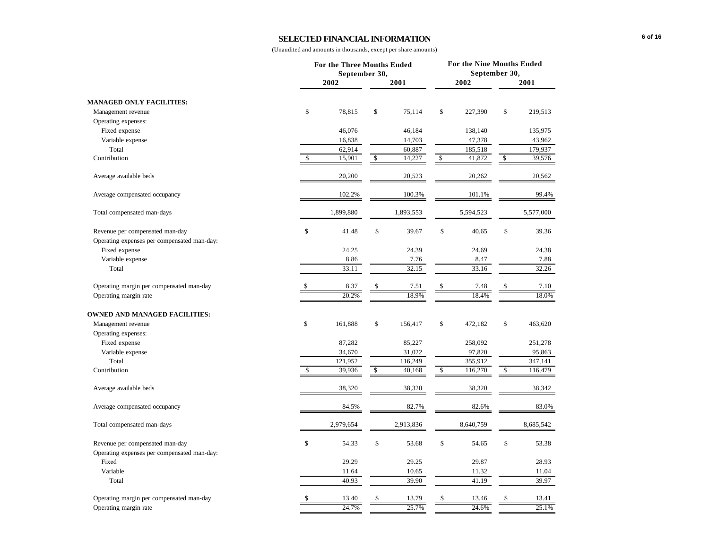### **SELECTED FINANCIAL INFORMATION**

|                                                                                | For the Three Months Ended<br>September 30, |           |      |           | For the Nine Months Ended<br>September 30, |           |    |           |  |
|--------------------------------------------------------------------------------|---------------------------------------------|-----------|------|-----------|--------------------------------------------|-----------|----|-----------|--|
|                                                                                |                                             | 2002      |      | 2001      |                                            | 2002      |    | 2001      |  |
| <b>MANAGED ONLY FACILITIES:</b>                                                |                                             |           |      |           |                                            |           |    |           |  |
| Management revenue                                                             | \$                                          | 78,815    | \$   | 75,114    | \$                                         | 227,390   | \$ | 219,513   |  |
| Operating expenses:                                                            |                                             |           |      |           |                                            |           |    |           |  |
| Fixed expense                                                                  |                                             | 46,076    |      | 46,184    |                                            | 138,140   |    | 135,975   |  |
| Variable expense                                                               |                                             | 16,838    |      | 14,703    |                                            | 47,378    |    | 43,962    |  |
| Total                                                                          |                                             | 62,914    |      | 60,887    |                                            | 185,518   |    | 179,937   |  |
| Contribution                                                                   | \$                                          | 15,901    | \$   | 14,227    | \$                                         | 41,872    | \$ | 39,576    |  |
| Average available beds                                                         |                                             | 20,200    |      | 20,523    |                                            | 20,262    |    | 20,562    |  |
| Average compensated occupancy                                                  |                                             | 102.2%    |      | 100.3%    |                                            | 101.1%    |    | 99.4%     |  |
| Total compensated man-days                                                     |                                             | 1,899,880 |      | 1,893,553 |                                            | 5,594,523 |    | 5,577,000 |  |
| Revenue per compensated man-day<br>Operating expenses per compensated man-day: | \$                                          | 41.48     | \$   | 39.67     | \$                                         | 40.65     | \$ | 39.36     |  |
| Fixed expense                                                                  |                                             | 24.25     |      | 24.39     |                                            | 24.69     |    | 24.38     |  |
| Variable expense                                                               |                                             | 8.86      |      | 7.76      |                                            | 8.47      |    | 7.88      |  |
| Total                                                                          |                                             | 33.11     |      | 32.15     |                                            | 33.16     |    | 32.26     |  |
| Operating margin per compensated man-day                                       | \$                                          | 8.37      | \$   | 7.51      | \$                                         | 7.48      | \$ | 7.10      |  |
| Operating margin rate                                                          |                                             | 20.2%     |      | 18.9%     |                                            | 18.4%     |    | 18.0%     |  |
| <b>OWNED AND MANAGED FACILITIES:</b>                                           |                                             |           |      |           |                                            |           |    |           |  |
| Management revenue                                                             | \$                                          | 161,888   | \$   | 156,417   | \$                                         | 472,182   | \$ | 463,620   |  |
| Operating expenses:                                                            |                                             |           |      |           |                                            |           |    |           |  |
| Fixed expense                                                                  |                                             | 87,282    |      | 85,227    |                                            | 258,092   |    | 251,278   |  |
| Variable expense                                                               |                                             | 34,670    |      | 31,022    |                                            | 97,820    |    | 95,863    |  |
| Total                                                                          |                                             | 121,952   |      | 116,249   |                                            | 355,912   |    | 347,141   |  |
| Contribution                                                                   | \$                                          | 39,936    | $\$$ | 40,168    | \$                                         | 116,270   | \$ | 116,479   |  |
| Average available beds                                                         |                                             | 38,320    |      | 38,320    |                                            | 38,320    |    | 38,342    |  |
| Average compensated occupancy                                                  |                                             | 84.5%     |      | 82.7%     |                                            | 82.6%     |    | 83.0%     |  |
| Total compensated man-days                                                     |                                             | 2,979,654 |      | 2,913,836 |                                            | 8,640,759 |    | 8,685,542 |  |
| Revenue per compensated man-day                                                | \$                                          | 54.33     | \$   | 53.68     | \$                                         | 54.65     | \$ | 53.38     |  |
| Operating expenses per compensated man-day:                                    |                                             |           |      |           |                                            |           |    |           |  |
| Fixed                                                                          |                                             | 29.29     |      | 29.25     |                                            | 29.87     |    | 28.93     |  |
| Variable                                                                       |                                             | 11.64     |      | 10.65     |                                            | 11.32     |    | 11.04     |  |
| Total                                                                          |                                             | 40.93     |      | 39.90     |                                            | 41.19     |    | 39.97     |  |
| Operating margin per compensated man-day                                       | \$                                          | 13.40     | \$   | 13.79     | \$                                         | 13.46     | \$ | 13.41     |  |
| Operating margin rate                                                          |                                             | 24.7%     |      | 25.7%     |                                            | 24.6%     |    | 25.1%     |  |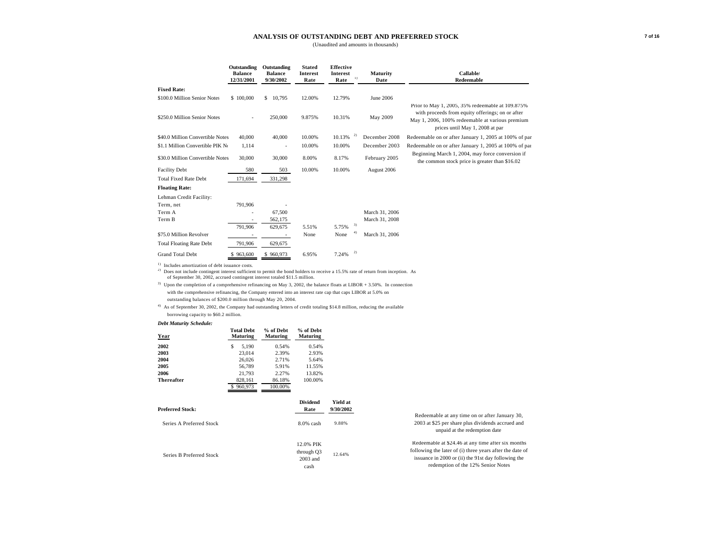#### **ANALYSIS OF OUTSTANDING DEBT AND PREFERRED STOCK**

(Unaudited and amounts in thousands)

|                                                                                                                                                                                                | Outstanding<br><b>Balance</b><br>12/31/2001 | Outstanding<br><b>Balance</b><br>9/30/2002 | <b>Stated</b><br><b>Interest</b><br>Rate | <b>Effective</b><br><b>Interest</b><br>1)<br>Rate | Maturity<br>Date | <b>Callable</b><br>Redeemable                                                                                                                                                              |
|------------------------------------------------------------------------------------------------------------------------------------------------------------------------------------------------|---------------------------------------------|--------------------------------------------|------------------------------------------|---------------------------------------------------|------------------|--------------------------------------------------------------------------------------------------------------------------------------------------------------------------------------------|
| <b>Fixed Rate:</b>                                                                                                                                                                             |                                             |                                            |                                          |                                                   |                  |                                                                                                                                                                                            |
| \$100.0 Million Senior Notes                                                                                                                                                                   | \$100,000                                   | S.<br>10,795                               | 12.00%                                   | 12.79%                                            | June 2006        |                                                                                                                                                                                            |
| \$250.0 Million Senior Notes                                                                                                                                                                   |                                             | 250,000                                    | 9.875%                                   | 10.31%                                            | May 2009         | Prior to May 1, 2005, 35% redeemable at 109.875%<br>with proceeds from equity offerings; on or after<br>May 1, 2006, 100% redeemable at various premium<br>prices until May 1, 2008 at par |
| \$40.0 Million Convertible Notes                                                                                                                                                               | 40,000                                      | 40,000                                     | 10.00%                                   | 2)<br>10.13%                                      | December 2008    | Redeemable on or after January 1, 2005 at 100% of par                                                                                                                                      |
| \$1.1 Million Convertible PIK No                                                                                                                                                               | 1.114                                       | $\overline{\phantom{a}}$                   | 10.00%                                   | 10.00%                                            | December 2003    | Redeemable on or after January 1, 2005 at 100% of par                                                                                                                                      |
| \$30.0 Million Convertible Notes                                                                                                                                                               | 30,000                                      | 30,000                                     | 8.00%                                    | 8.17%                                             | February 2005    | Beginning March 1, 2004, may force conversion if<br>the common stock price is greater than \$16.02                                                                                         |
| <b>Facility Debt</b>                                                                                                                                                                           | 580                                         | 503                                        | 10.00%                                   | 10.00%                                            | August 2006      |                                                                                                                                                                                            |
| <b>Total Fixed Rate Debt</b>                                                                                                                                                                   | 171.694                                     | 331,298                                    |                                          |                                                   |                  |                                                                                                                                                                                            |
| <b>Floating Rate:</b>                                                                                                                                                                          |                                             |                                            |                                          |                                                   |                  |                                                                                                                                                                                            |
| Lehman Credit Facility:                                                                                                                                                                        |                                             |                                            |                                          |                                                   |                  |                                                                                                                                                                                            |
| Term, net                                                                                                                                                                                      | 791,906                                     |                                            |                                          |                                                   |                  |                                                                                                                                                                                            |
| Term A                                                                                                                                                                                         |                                             | 67,500                                     |                                          |                                                   | March 31, 2006   |                                                                                                                                                                                            |
| Term B                                                                                                                                                                                         |                                             | 562,175                                    |                                          |                                                   | March 31, 2008   |                                                                                                                                                                                            |
|                                                                                                                                                                                                | 791,906                                     | 629,675                                    | 5.51%                                    | 3)<br>5.75%                                       |                  |                                                                                                                                                                                            |
| \$75.0 Million Revolver                                                                                                                                                                        |                                             | $\sim$                                     | None                                     | 4)<br>None                                        | March 31, 2006   |                                                                                                                                                                                            |
| <b>Total Floating Rate Debt</b>                                                                                                                                                                | 791,906                                     | 629,675                                    |                                          |                                                   |                  |                                                                                                                                                                                            |
| <b>Grand Total Debt</b>                                                                                                                                                                        | \$963,600                                   | \$960,973                                  | 6.95%                                    | 2)<br>7.24%                                       |                  |                                                                                                                                                                                            |
| Includes amortization of debt issuance costs.<br><sup>2)</sup> Does not include contingent interest sufficient to permit the bond holders to receive a 15.5% rate of return from inception. As |                                             |                                            |                                          |                                                   |                  |                                                                                                                                                                                            |

of September 30, 2002, accrued contingent interest totaled \$11.5 million.

<sup>3)</sup> Upon the completion of a comprehensive refinancing on May 3, 2002, the balance floats at LIBOR + 3.50%. In connection with the comprehensive refinancing, the Company entered into an interest rate cap that caps LIBOR at 5.0% on outstanding balances of \$200.0 million through May 20, 2004.

4) As of September 30, 2002, the Company had outstanding letters of credit totaling \$14.8 million, reducing the available borrowing capacity to \$60.2 million.

#### *Debt Maturity Schedule:*

| Year              | <b>Total Debt</b><br><b>Maturing</b> | % of Debt<br>Maturing | % of Debt<br><b>Maturing</b> |
|-------------------|--------------------------------------|-----------------------|------------------------------|
| 2002              | S<br>5.190                           | 0.54%                 | 0.54%                        |
| 2003              | 23.014                               | 2.39%                 | 2.93%                        |
| 2004              | 26,026                               | 2.71%                 | 5.64%                        |
| 2005              | 56.789                               | 5.91%                 | 11.55%                       |
| 2006              | 21.793                               | 2.27%                 | 13.82%                       |
| <b>Thereafter</b> | 828.161                              | 86.18%                | 100.00%                      |
|                   | 960,973<br>S                         | 100.00%               |                              |
|                   |                                      |                       |                              |

|                          | <b>Dividend</b>                               | Yield at  |                                                                                                                                                                                                             |
|--------------------------|-----------------------------------------------|-----------|-------------------------------------------------------------------------------------------------------------------------------------------------------------------------------------------------------------|
| <b>Preferred Stock:</b>  | Rate                                          | 9/30/2002 |                                                                                                                                                                                                             |
| Series A Preferred Stock | $8.0\%$ cash                                  | 9.88%     | Redeemable at any time on or after January 30,<br>2003 at \$25 per share plus dividends accrued and<br>unpaid at the redemption date                                                                        |
| Series B Preferred Stock | 12.0% PIK<br>through Q3<br>$2003$ and<br>cash | 12.64%    | Redeemable at \$24.46 at any time after six months<br>following the later of (i) three years after the date of<br>issuance in 2000 or (ii) the 91st day following the<br>redemption of the 12% Senior Notes |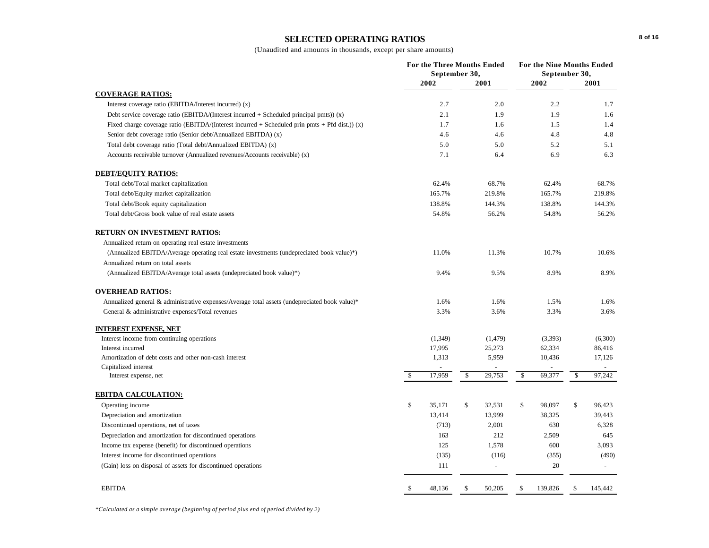# **SELECTED OPERATING RATIOS**

(Unaudited and amounts in thousands, except per share amounts)

|                                                                                                    | For the Three Months Ended<br>September 30, |         |                |    |         | For the Nine Months Ended<br>September 30, |         |
|----------------------------------------------------------------------------------------------------|---------------------------------------------|---------|----------------|----|---------|--------------------------------------------|---------|
|                                                                                                    | 2002                                        |         | 2001           |    | 2002    |                                            | 2001    |
| <b>COVERAGE RATIOS:</b>                                                                            |                                             |         |                |    |         |                                            |         |
| Interest coverage ratio (EBITDA/Interest incurred) (x)                                             |                                             | 2.7     | 2.0            |    | 2.2     |                                            | 1.7     |
| Debt service coverage ratio (EBITDA/(Interest incurred $+$ Scheduled principal pmts)) (x)          |                                             | 2.1     | 1.9            |    | 1.9     |                                            | 1.6     |
| Fixed charge coverage ratio (EBITDA/(Interest incurred $+$ Scheduled prin pmts $+$ Pfd dist.)) (x) |                                             | 1.7     | 1.6            |    | 1.5     |                                            | 1.4     |
| Senior debt coverage ratio (Senior debt/Annualized EBITDA) (x)                                     |                                             | 4.6     | 4.6            |    | 4.8     |                                            | 4.8     |
| Total debt coverage ratio (Total debt/Annualized EBITDA) (x)                                       |                                             | 5.0     | 5.0            |    | 5.2     |                                            | 5.1     |
| Accounts receivable turnover (Annualized revenues/Accounts receivable) (x)                         |                                             | 7.1     | 6.4            |    | 6.9     |                                            | 6.3     |
| <b>DEBT/EQUITY RATIOS:</b>                                                                         |                                             |         |                |    |         |                                            |         |
| Total debt/Total market capitalization                                                             |                                             | 62.4%   | 68.7%          |    | 62.4%   |                                            | 68.7%   |
| Total debt/Equity market capitalization                                                            | 165.7%                                      |         | 219.8%         |    | 165.7%  |                                            | 219.8%  |
| Total debt/Book equity capitalization                                                              | 138.8%                                      |         | 144.3%         |    | 138.8%  |                                            | 144.3%  |
| Total debt/Gross book value of real estate assets                                                  |                                             | 54.8%   | 56.2%          |    | 54.8%   |                                            | 56.2%   |
| <b>RETURN ON INVESTMENT RATIOS:</b>                                                                |                                             |         |                |    |         |                                            |         |
| Annualized return on operating real estate investments                                             |                                             |         |                |    |         |                                            |         |
| (Annualized EBITDA/Average operating real estate investments (undepreciated book value)*)          |                                             | 11.0%   | 11.3%          |    | 10.7%   |                                            | 10.6%   |
| Annualized return on total assets                                                                  |                                             |         |                |    |         |                                            |         |
| (Annualized EBITDA/Average total assets (undepreciated book value)*)                               |                                             | 9.4%    | 9.5%           |    | 8.9%    |                                            | 8.9%    |
| <b>OVERHEAD RATIOS:</b>                                                                            |                                             |         |                |    |         |                                            |         |
| Annualized general & administrative expenses/Average total assets (undepreciated book value)*      |                                             | 1.6%    | 1.6%           |    | 1.5%    |                                            | 1.6%    |
| General & administrative expenses/Total revenues                                                   |                                             | 3.3%    | 3.6%           |    | 3.3%    |                                            | 3.6%    |
| <b>INTEREST EXPENSE, NET</b>                                                                       |                                             |         |                |    |         |                                            |         |
| Interest income from continuing operations                                                         |                                             | (1,349) | (1, 479)       |    | (3,393) |                                            | (6,300) |
| Interest incurred                                                                                  | 17,995                                      |         | 25,273         |    | 62,334  |                                            | 86,416  |
| Amortization of debt costs and other non-cash interest                                             | 1,313                                       |         | 5,959          |    | 10,436  |                                            | 17,126  |
| Capitalized interest                                                                               |                                             |         |                |    |         |                                            |         |
| Interest expense, net                                                                              | 17,959<br>\$                                | \$      | 29,753         | \$ | 69,377  | \$                                         | 97,242  |
| <b>EBITDA CALCULATION:</b>                                                                         |                                             |         |                |    |         |                                            |         |
| Operating income                                                                                   | \$<br>35,171                                | \$      | 32,531         | \$ | 98,097  | \$                                         | 96,423  |
| Depreciation and amortization                                                                      | 13,414                                      |         | 13,999         |    | 38,325  |                                            | 39,443  |
| Discontinued operations, net of taxes                                                              |                                             | (713)   | 2,001          |    | 630     |                                            | 6,328   |
| Depreciation and amortization for discontinued operations                                          |                                             | 163     | 212            |    | 2,509   |                                            | 645     |
| Income tax expense (benefit) for discontinued operations                                           |                                             | 125     | 1,578          |    | 600     |                                            | 3,093   |
| Interest income for discontinued operations                                                        |                                             | (135)   | (116)          |    | (355)   |                                            | (490)   |
| (Gain) loss on disposal of assets for discontinued operations                                      |                                             | 111     | $\overline{a}$ |    | 20      |                                            |         |
| <b>EBITDA</b>                                                                                      | \$<br>48,136                                | \$      | 50,205         | \$ | 139,826 | <sup>\$</sup>                              | 145,442 |
|                                                                                                    |                                             |         |                |    |         |                                            |         |

*\*Calculated as a simple average (beginning of period plus end of period divided by 2)*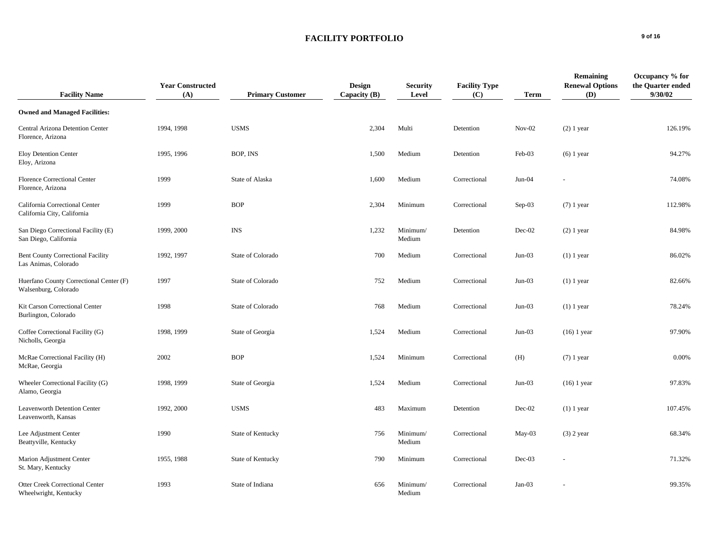# **FACILITY PORTFOLIO** 9 of 16

| <b>Facility Name</b>                                             | <b>Year Constructed</b><br>(A) | <b>Primary Customer</b> | <b>Design</b><br>Capacity $(B)$ | <b>Security</b><br>Level | <b>Facility Type</b><br>(C) | <b>Term</b> | <b>Remaining</b><br><b>Renewal Options</b><br>(D) | Occupancy % for<br>the Quarter ended<br>9/30/02 |
|------------------------------------------------------------------|--------------------------------|-------------------------|---------------------------------|--------------------------|-----------------------------|-------------|---------------------------------------------------|-------------------------------------------------|
| <b>Owned and Managed Facilities:</b>                             |                                |                         |                                 |                          |                             |             |                                                   |                                                 |
| Central Arizona Detention Center<br>Florence, Arizona            | 1994, 1998                     | <b>USMS</b>             | 2,304                           | Multi                    | Detention                   | $Nov-02$    | $(2)$ 1 year                                      | 126.19%                                         |
| <b>Eloy Detention Center</b><br>Eloy, Arizona                    | 1995, 1996                     | BOP, INS                | 1,500                           | Medium                   | Detention                   | Feb-03      | $(6)$ 1 year                                      | 94.27%                                          |
| Florence Correctional Center<br>Florence, Arizona                | 1999                           | State of Alaska         | 1,600                           | Medium                   | Correctional                | $Jun-04$    |                                                   | 74.08%                                          |
| California Correctional Center<br>California City, California    | 1999                           | <b>BOP</b>              | 2,304                           | Minimum                  | Correctional                | $Sep-03$    | $(7)$ 1 year                                      | 112.98%                                         |
| San Diego Correctional Facility (E)<br>San Diego, California     | 1999, 2000                     | <b>INS</b>              | 1,232                           | Minimum/<br>Medium       | Detention                   | Dec-02      | $(2)$ 1 year                                      | 84.98%                                          |
| <b>Bent County Correctional Facility</b><br>Las Animas, Colorado | 1992, 1997                     | State of Colorado       | 700                             | Medium                   | Correctional                | $Jun-03$    | $(1)$ 1 year                                      | 86.02%                                          |
| Huerfano County Correctional Center (F)<br>Walsenburg, Colorado  | 1997                           | State of Colorado       | 752                             | Medium                   | Correctional                | $Jun-03$    | $(1)$ 1 year                                      | 82.66%                                          |
| Kit Carson Correctional Center<br>Burlington, Colorado           | 1998                           | State of Colorado       | 768                             | Medium                   | Correctional                | $Jun-03$    | $(1)$ 1 year                                      | 78.24%                                          |
| Coffee Correctional Facility (G)<br>Nicholls, Georgia            | 1998, 1999                     | State of Georgia        | 1,524                           | Medium                   | Correctional                | $Jun-03$    | $(16)$ 1 year                                     | 97.90%                                          |
| McRae Correctional Facility (H)<br>McRae, Georgia                | 2002                           | <b>BOP</b>              | 1,524                           | Minimum                  | Correctional                | (H)         | $(7)$ 1 year                                      | 0.00%                                           |
| Wheeler Correctional Facility (G)<br>Alamo, Georgia              | 1998, 1999                     | State of Georgia        | 1,524                           | Medium                   | Correctional                | $Jun-03$    | $(16)$ 1 year                                     | 97.83%                                          |
| <b>Leavenworth Detention Center</b><br>Leavenworth, Kansas       | 1992, 2000                     | <b>USMS</b>             | 483                             | Maximum                  | Detention                   | Dec-02      | $(1)$ 1 year                                      | 107.45%                                         |
| Lee Adjustment Center<br>Beattyville, Kentucky                   | 1990                           | State of Kentucky       | 756                             | Minimum/<br>Medium       | Correctional                | May-03      | $(3)$ 2 year                                      | 68.34%                                          |
| Marion Adjustment Center<br>St. Mary, Kentucky                   | 1955, 1988                     | State of Kentucky       | 790                             | Minimum                  | Correctional                | $Dec-03$    |                                                   | 71.32%                                          |
| <b>Otter Creek Correctional Center</b><br>Wheelwright, Kentucky  | 1993                           | State of Indiana        | 656                             | Minimum/<br>Medium       | Correctional                | $Jan-03$    |                                                   | 99.35%                                          |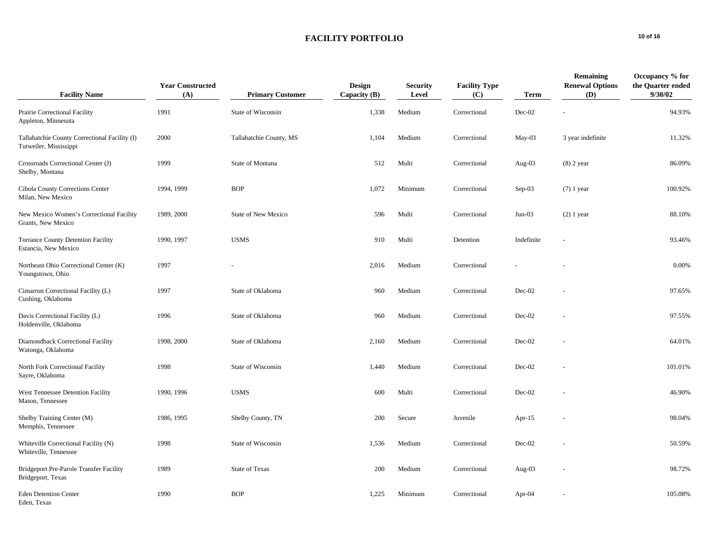# FACILITY PORTFOLIO
<sup>10 of 16</sup>

| <b>Facility Name</b>                                                    | <b>Year Constructed</b><br>(A) | <b>Primary Customer</b> | <b>Design</b><br>Capacity $(B)$ | <b>Security</b><br>Level | <b>Facility Type</b><br>(C) | <b>Term</b> | <b>Remaining</b><br><b>Renewal Options</b><br>(D) | Occupancy % for<br>the Quarter ended<br>9/30/02 |
|-------------------------------------------------------------------------|--------------------------------|-------------------------|---------------------------------|--------------------------|-----------------------------|-------------|---------------------------------------------------|-------------------------------------------------|
| Prairie Correctional Facility<br>Appleton, Minnesota                    | 1991                           | State of Wisconsin      | 1,338                           | Medium                   | Correctional                | $Dec-02$    |                                                   | 94.93%                                          |
| Tallahatchie County Correctional Facility (I)<br>Tutweiler, Mississippi | 2000                           | Tallahatchie County, MS | 1,104                           | Medium                   | Correctional                | $May-03$    | 3 year indefinite                                 | 11.32%                                          |
| Crossroads Correctional Center (J)<br>Shelby, Montana                   | 1999                           | State of Montana        | 512                             | Multi                    | Correctional                | Aug- $03$   | $(8)$ 2 year                                      | 86.09%                                          |
| Cibola County Corrections Center<br>Milan, New Mexico                   | 1994, 1999                     | <b>BOP</b>              | 1,072                           | Minimum                  | Correctional                | Sep-03      | $(7)$ 1 year                                      | 100.92%                                         |
| New Mexico Women's Correctional Facility<br>Grants, New Mexico          | 1989, 2000                     | State of New Mexico     | 596                             | Multi                    | Correctional                | $Jun-03$    | $(2)$ 1 year                                      | 88.10%                                          |
| <b>Torrance County Detention Facility</b><br>Estancia, New Mexico       | 1990, 1997                     | <b>USMS</b>             | 910                             | Multi                    | Detention                   | Indefinite  | $\overline{a}$                                    | 93.46%                                          |
| Northeast Ohio Correctional Center (K)<br>Youngstown, Ohio              | 1997                           |                         | 2,016                           | Medium                   | Correctional                |             |                                                   | 0.00%                                           |
| Cimarron Correctional Facility (L)<br>Cushing, Oklahoma                 | 1997                           | State of Oklahoma       | 960                             | Medium                   | Correctional                | $Dec-02$    |                                                   | 97.65%                                          |
| Davis Correctional Facility (L)<br>Holdenville, Oklahoma                | 1996                           | State of Oklahoma       | 960                             | Medium                   | Correctional                | Dec-02      |                                                   | 97.55%                                          |
| Diamondback Correctional Facility<br>Watonga, Oklahoma                  | 1998, 2000                     | State of Oklahoma       | 2,160                           | Medium                   | Correctional                | $Dec-02$    |                                                   | 64.01%                                          |
| North Fork Correctional Facility<br>Sayre, Oklahoma                     | 1998                           | State of Wisconsin      | 1,440                           | Medium                   | Correctional                | $Dec-02$    |                                                   | 101.01%                                         |
| West Tennessee Detention Facility<br>Mason, Tennessee                   | 1990, 1996                     | <b>USMS</b>             | 600                             | Multi                    | Correctional                | $Dec-02$    |                                                   | 46.90%                                          |
| Shelby Training Center (M)<br>Memphis, Tennessee                        | 1986, 1995                     | Shelby County, TN       | 200                             | Secure                   | Juvenile                    | Apr- $15$   |                                                   | 98.04%                                          |
| Whiteville Correctional Facility (N)<br>Whiteville, Tennessee           | 1998                           | State of Wisconsin      | 1,536                           | Medium                   | Correctional                | Dec-02      |                                                   | 50.59%                                          |
| Bridgeport Pre-Parole Transfer Facility<br>Bridgeport, Texas            | 1989                           | <b>State of Texas</b>   | 200                             | Medium                   | Correctional                | Aug- $03$   |                                                   | 98.72%                                          |
| <b>Eden Detention Center</b><br>Eden, Texas                             | 1990                           | <b>BOP</b>              | 1,225                           | Minimum                  | Correctional                | Apr-04      |                                                   | 105.08%                                         |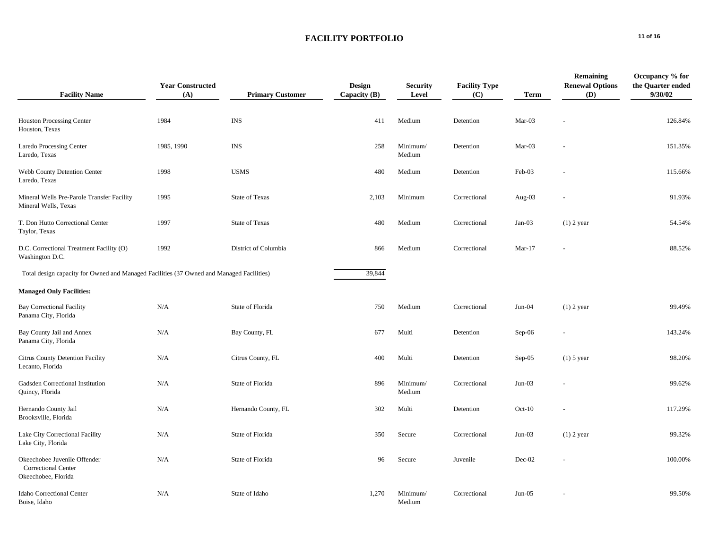# FACILITY PORTFOLIO
<sup>11 of 16</sup>

| <b>Facility Name</b>                                                                     | <b>Year Constructed</b><br>(A) | <b>Primary Customer</b> | <b>Design</b><br>Capacity $(B)$ | <b>Security</b><br>Level | <b>Facility Type</b><br>(C) | <b>Term</b> | <b>Remaining</b><br><b>Renewal Options</b><br>(D) | Occupancy % for<br>the Quarter ended<br>9/30/02 |
|------------------------------------------------------------------------------------------|--------------------------------|-------------------------|---------------------------------|--------------------------|-----------------------------|-------------|---------------------------------------------------|-------------------------------------------------|
| <b>Houston Processing Center</b><br>Houston, Texas                                       | 1984                           | <b>INS</b>              | 411                             | Medium                   | Detention                   | Mar-03      |                                                   | 126.84%                                         |
| Laredo Processing Center<br>Laredo, Texas                                                | 1985, 1990                     | <b>INS</b>              | 258                             | Minimum/<br>Medium       | Detention                   | Mar-03      |                                                   | 151.35%                                         |
| Webb County Detention Center<br>Laredo, Texas                                            | 1998                           | <b>USMS</b>             | 480                             | Medium                   | Detention                   | Feb-03      |                                                   | 115.66%                                         |
| Mineral Wells Pre-Parole Transfer Facility<br>Mineral Wells, Texas                       | 1995                           | State of Texas          | 2,103                           | Minimum                  | Correctional                | Aug-03      |                                                   | 91.93%                                          |
| T. Don Hutto Correctional Center<br>Taylor, Texas                                        | 1997                           | <b>State of Texas</b>   | 480                             | Medium                   | Correctional                | $Jan-03$    | $(1)$ 2 year                                      | 54.54%                                          |
| D.C. Correctional Treatment Facility (O)<br>Washington D.C.                              | 1992                           | District of Columbia    | 866                             | Medium                   | Correctional                | $Mar-17$    |                                                   | 88.52%                                          |
| Total design capacity for Owned and Managed Facilities (37 Owned and Managed Facilities) |                                |                         | 39,844                          |                          |                             |             |                                                   |                                                 |
| <b>Managed Only Facilities:</b>                                                          |                                |                         |                                 |                          |                             |             |                                                   |                                                 |
| <b>Bay Correctional Facility</b><br>Panama City, Florida                                 | N/A                            | State of Florida        | 750                             | Medium                   | Correctional                | $Jun-04$    | $(1)$ 2 year                                      | 99.49%                                          |
| Bay County Jail and Annex<br>Panama City, Florida                                        | N/A                            | Bay County, FL          | 677                             | Multi                    | Detention                   | $Sep-06$    |                                                   | 143.24%                                         |
| Citrus County Detention Facility<br>Lecanto, Florida                                     | N/A                            | Citrus County, FL       | 400                             | Multi                    | Detention                   | $Sep-05$    | $(1)$ 5 year                                      | 98.20%                                          |
| Gadsden Correctional Institution<br>Quincy, Florida                                      | N/A                            | State of Florida        | 896                             | Minimum/<br>Medium       | Correctional                | $Jun-03$    |                                                   | 99.62%                                          |
| Hernando County Jail<br>Brooksville, Florida                                             | N/A                            | Hernando County, FL     | 302                             | Multi                    | Detention                   | $Oct-10$    |                                                   | 117.29%                                         |
| Lake City Correctional Facility<br>Lake City, Florida                                    | N/A                            | State of Florida        | 350                             | Secure                   | Correctional                | $Jun-03$    | $(1)$ 2 year                                      | 99.32%                                          |
| Okeechobee Juvenile Offender<br><b>Correctional Center</b><br>Okeechobee, Florida        | N/A                            | State of Florida        | 96                              | Secure                   | Juvenile                    | Dec-02      |                                                   | 100.00%                                         |
| Idaho Correctional Center<br>Boise, Idaho                                                | N/A                            | State of Idaho          | 1,270                           | Minimum/<br>Medium       | Correctional                | $Jun-05$    |                                                   | 99.50%                                          |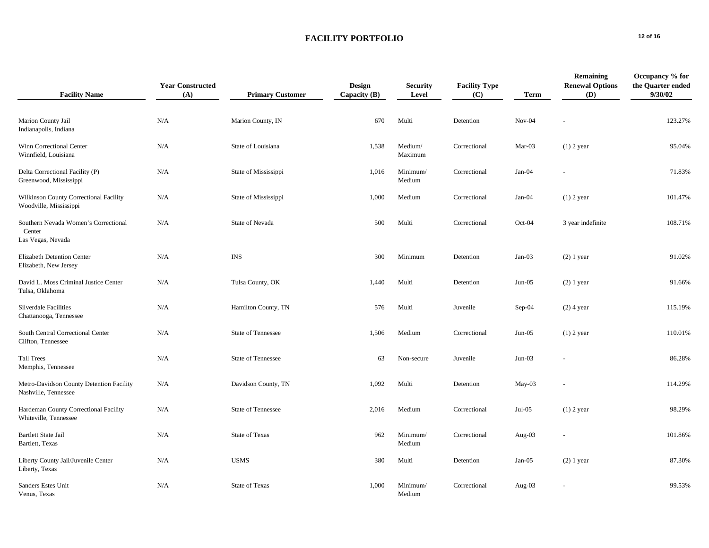# **FACILITY PORTFOLIO 12 of 16**

| <b>Facility Name</b>                                                | <b>Year Constructed</b><br>(A) | <b>Primary Customer</b>   | <b>Design</b><br>Capacity (B) | <b>Security</b><br>Level | <b>Facility Type</b><br>(C) | <b>Term</b> | Remaining<br><b>Renewal Options</b><br>(D) | Occupancy % for<br>the Quarter ended<br>9/30/02 |
|---------------------------------------------------------------------|--------------------------------|---------------------------|-------------------------------|--------------------------|-----------------------------|-------------|--------------------------------------------|-------------------------------------------------|
| Marion County Jail<br>Indianapolis, Indiana                         | N/A                            | Marion County, IN         | 670                           | Multi                    | Detention                   | $Nov-04$    |                                            | 123.27%                                         |
| Winn Correctional Center<br>Winnfield, Louisiana                    | N/A                            | State of Louisiana        | 1,538                         | Medium/<br>Maximum       | Correctional                | Mar-03      | $(1)$ 2 year                               | 95.04%                                          |
| Delta Correctional Facility (P)<br>Greenwood, Mississippi           | N/A                            | State of Mississippi      | 1,016                         | Minimum/<br>Medium       | Correctional                | $Jan-04$    |                                            | 71.83%                                          |
| Wilkinson County Correctional Facility<br>Woodville, Mississippi    | N/A                            | State of Mississippi      | 1,000                         | Medium                   | Correctional                | $Jan-04$    | $(1)$ 2 year                               | 101.47%                                         |
| Southern Nevada Women's Correctional<br>Center<br>Las Vegas, Nevada | N/A                            | State of Nevada           | 500                           | Multi                    | Correctional                | Oct-04      | 3 year indefinite                          | 108.71%                                         |
| Elizabeth Detention Center<br>Elizabeth, New Jersey                 | N/A                            | <b>INS</b>                | 300                           | Minimum                  | Detention                   | $Jan-03$    | $(2)$ 1 year                               | 91.02%                                          |
| David L. Moss Criminal Justice Center<br>Tulsa, Oklahoma            | N/A                            | Tulsa County, OK          | 1,440                         | Multi                    | Detention                   | $Jun-05$    | $(2)$ 1 year                               | 91.66%                                          |
| Silverdale Facilities<br>Chattanooga, Tennessee                     | N/A                            | Hamilton County, TN       | 576                           | Multi                    | Juvenile                    | $Sep-04$    | $(2)$ 4 year                               | 115.19%                                         |
| South Central Correctional Center<br>Clifton, Tennessee             | N/A                            | <b>State of Tennessee</b> | 1,506                         | Medium                   | Correctional                | $Jun-05$    | $(1)$ 2 year                               | 110.01%                                         |
| <b>Tall Trees</b><br>Memphis, Tennessee                             | N/A                            | State of Tennessee        | 63                            | Non-secure               | Juvenile                    | $Jun-03$    |                                            | 86.28%                                          |
| Metro-Davidson County Detention Facility<br>Nashville, Tennessee    | N/A                            | Davidson County, TN       | 1,092                         | Multi                    | Detention                   | May-03      |                                            | 114.29%                                         |
| Hardeman County Correctional Facility<br>Whiteville, Tennessee      | N/A                            | State of Tennessee        | 2,016                         | Medium                   | Correctional                | $Jul-05$    | $(1)$ 2 year                               | 98.29%                                          |
| <b>Bartlett State Jail</b><br>Bartlett, Texas                       | N/A                            | State of Texas            | 962                           | Minimum/<br>Medium       | Correctional                | Aug-03      |                                            | 101.86%                                         |
| Liberty County Jail/Juvenile Center<br>Liberty, Texas               | N/A                            | <b>USMS</b>               | 380                           | Multi                    | Detention                   | $Jan-05$    | $(2)$ 1 year                               | 87.30%                                          |
| Sanders Estes Unit<br>Venus, Texas                                  | N/A                            | State of Texas            | 1,000                         | Minimum/<br>Medium       | Correctional                | Aug- $03$   |                                            | 99.53%                                          |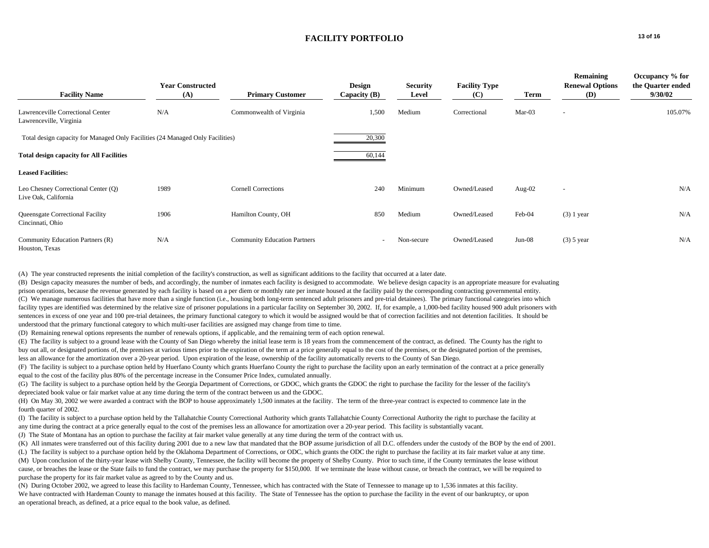### **FACILITY PORTFOLIO** 13 of 16

|                                                                                | <b>Year Constructed</b> |                                     | <b>Design</b>            | <b>Security</b> | <b>Facility Type</b> |           | Remaining<br><b>Renewal Options</b> | Occupancy % for<br>the Quarter ended |
|--------------------------------------------------------------------------------|-------------------------|-------------------------------------|--------------------------|-----------------|----------------------|-----------|-------------------------------------|--------------------------------------|
| <b>Facility Name</b>                                                           | (A)                     | <b>Primary Customer</b>             | Capacity $(B)$           | Level           | (C)                  | Term      | (D)                                 | 9/30/02                              |
| Lawrenceville Correctional Center<br>Lawrenceville, Virginia                   | N/A                     | Commonwealth of Virginia            | 1,500                    | Medium          | Correctional         | $Mar-03$  | $\sim$                              | 105.07%                              |
| Total design capacity for Managed Only Facilities (24 Managed Only Facilities) |                         |                                     | 20,300                   |                 |                      |           |                                     |                                      |
| <b>Total design capacity for All Facilities</b>                                |                         |                                     | 60,144                   |                 |                      |           |                                     |                                      |
| <b>Leased Facilities:</b>                                                      |                         |                                     |                          |                 |                      |           |                                     |                                      |
| Leo Chesney Correctional Center (Q)<br>Live Oak, California                    | 1989                    | <b>Cornell Corrections</b>          | 240                      | Minimum         | Owned/Leased         | Aug- $02$ | $\overline{\phantom{a}}$            | N/A                                  |
| Queensgate Correctional Facility<br>Cincinnati, Ohio                           | 1906                    | Hamilton County, OH                 | 850                      | Medium          | Owned/Leased         | Feb-04    | $(3)$ 1 year                        | N/A                                  |
| Community Education Partners (R)<br>Houston, Texas                             | N/A                     | <b>Community Education Partners</b> | $\overline{\phantom{0}}$ | Non-secure      | Owned/Leased         | Jun-08    | $(3)$ 5 year                        | N/A                                  |

(A) The year constructed represents the initial completion of the facility's construction, as well as significant additions to the facility that occurred at a later date.

(B) Design capacity measures the number of beds, and accordingly, the number of inmates each facility is designed to accommodate. We believe design capacity is an appropriate measure for evaluating prison operations, because the revenue generated by each facility is based on a per diem or monthly rate per inmate housed at the facility paid by the corresponding contracting governmental entity. (C) We manage numerous facilities that have more than a single function (i.e., housing both long-term sentenced adult prisoners and pre-trial detainees). The primary functional categories into which facility types are identified was determined by the relative size of prisoner populations in a particular facility on September 30, 2002. If, for example, a 1,000-bed facility housed 900 adult prisoners with sentences in excess of one year and 100 pre-trial detainees, the primary functional category to which it would be assigned would be that of correction facilities and not detention facilities. It should be understood that the primary functional category to which multi-user facilities are assigned may change from time to time.

(D) Remaining renewal options represents the number of renewals options, if applicable, and the remaining term of each option renewal.

(E) The facility is subject to a ground lease with the County of San Diego whereby the initial lease term is 18 years from the commencement of the contract, as defined. The County has the right to buy out all, or designated portions of, the premises at various times prior to the expiration of the term at a price generally equal to the cost of the premises, or the designated portion of the premises, less an allowance for the amortization over a 20-year period. Upon expiration of the lease, ownership of the facility automatically reverts to the County of San Diego.

(F) The facility is subject to a purchase option held by Huerfano County which grants Huerfano County the right to purchase the facility upon an early termination of the contract at a price generally equal to the cost of the facility plus 80% of the percentage increase in the Consumer Price Index, cumulated annually.

(G) The facility is subject to a purchase option held by the Georgia Department of Corrections, or GDOC, which grants the GDOC the right to purchase the facility for the lesser of the facility's depreciated book value or fair market value at any time during the term of the contract between us and the GDOC.

(H) On May 30, 2002 we were awarded a contract with the BOP to house approximately 1,500 inmates at the facility. The term of the three-year contract is expected to commence late in the fourth quarter of 2002.

(I) The facility is subject to a purchase option held by the Tallahatchie County Correctional Authority which grants Tallahatchie County Correctional Authority the right to purchase the facility at any time during the contract at a price generally equal to the cost of the premises less an allowance for amortization over a 20-year period. This facility is substantially vacant.

(J) The State of Montana has an option to purchase the facility at fair market value generally at any time during the term of the contract with us.

(K) All inmates were transferred out of this facility during 2001 due to a new law that mandated that the BOP assume jurisdiction of all D.C. offenders under the custody of the BOP by the end of 2001.

(L) The facility is subject to a purchase option held by the Oklahoma Department of Corrections, or ODC, which grants the ODC the right to purchase the facility at its fair market value at any time. (M) Upon conclusion of the thirty-year lease with Shelby County, Tennessee, the facility will become the property of Shelby County. Prior to such time, if the County terminates the lease without cause, or breaches the lease or the State fails to fund the contract, we may purchase the property for \$150,000. If we terminate the lease without cause, or breach the contract, we will be required to

purchase the property for its fair market value as agreed to by the County and us.

(N) During October 2002, we agreed to lease this facility to Hardeman County, Tennessee, which has contracted with the State of Tennessee to manage up to 1,536 inmates at this facility. We have contracted with Hardeman County to manage the inmates housed at this facility. The State of Tennessee has the option to purchase the facility in the event of our bankruptcy, or upon an operational breach, as defined, at a price equal to the book value, as defined.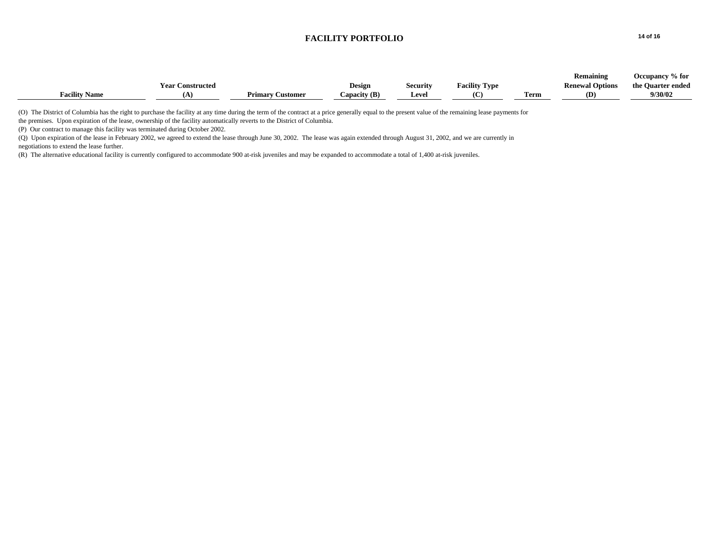### **FACILITY PORTFOLIO** 14 of 16

|                      |                         |                         |               |                 |                      |      | Remaining              | Occupancy % for   |
|----------------------|-------------------------|-------------------------|---------------|-----------------|----------------------|------|------------------------|-------------------|
|                      | <b>Year Constructed</b> |                         | <b>Design</b> | <b>Security</b> | <b>Facility Type</b> |      | <b>Renewal Options</b> | the Quarter ended |
| <b>Facility Name</b> | œ                       | <b>Primary Customer</b> | Capacity (B)  | <b>Leve</b>     |                      | Term | (D)                    | 9/30/02           |
|                      |                         |                         |               |                 |                      |      |                        |                   |

(O) The District of Columbia has the right to purchase the facility at any time during the term of the contract at a price generally equal to the present value of the remaining lease payments for

the premises. Upon expiration of the lease, ownership of the facility automatically reverts to the District of Columbia.

(P) Our contract to manage this facility was terminated during October 2002.

(Q) Upon expiration of the lease in February 2002, we agreed to extend the lease through June 30, 2002. The lease was again extended through August 31, 2002, and we are currently in negotiations to extend the lease further.

(R) The alternative educational facility is currently configured to accommodate 900 at-risk juveniles and may be expanded to accommodate a total of 1,400 at-risk juveniles.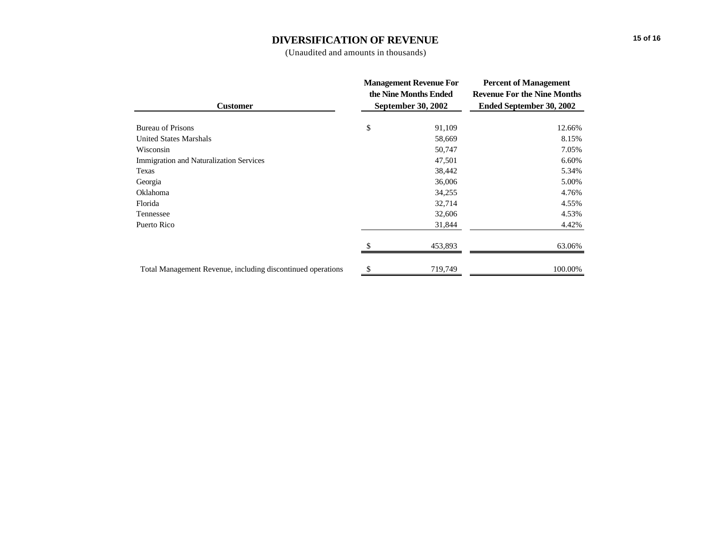# **DIVERSIFICATION OF REVENUE**

(Unaudited and amounts in thousands)

|                                                             | <b>Management Revenue For</b> | <b>Percent of Management</b>       |  |  |
|-------------------------------------------------------------|-------------------------------|------------------------------------|--|--|
|                                                             | the Nine Months Ended         | <b>Revenue For the Nine Months</b> |  |  |
| <b>Customer</b>                                             | <b>September 30, 2002</b>     | Ended September 30, 2002           |  |  |
| <b>Bureau of Prisons</b>                                    | \$<br>91,109                  | 12.66%                             |  |  |
| <b>United States Marshals</b>                               | 58,669                        | 8.15%                              |  |  |
| Wisconsin                                                   | 50,747                        | 7.05%                              |  |  |
| <b>Immigration and Naturalization Services</b>              | 47,501                        | 6.60%                              |  |  |
| Texas                                                       | 38,442                        | 5.34%                              |  |  |
| Georgia                                                     | 36,006                        | 5.00%                              |  |  |
| Oklahoma                                                    | 34,255                        | 4.76%                              |  |  |
| Florida                                                     | 32,714                        | 4.55%                              |  |  |
| Tennessee                                                   | 32,606                        | 4.53%                              |  |  |
| Puerto Rico                                                 | 31,844                        | 4.42%                              |  |  |
|                                                             | 453,893                       | 63.06%                             |  |  |
| Total Management Revenue, including discontinued operations | \$<br>719,749                 | 100.00%                            |  |  |